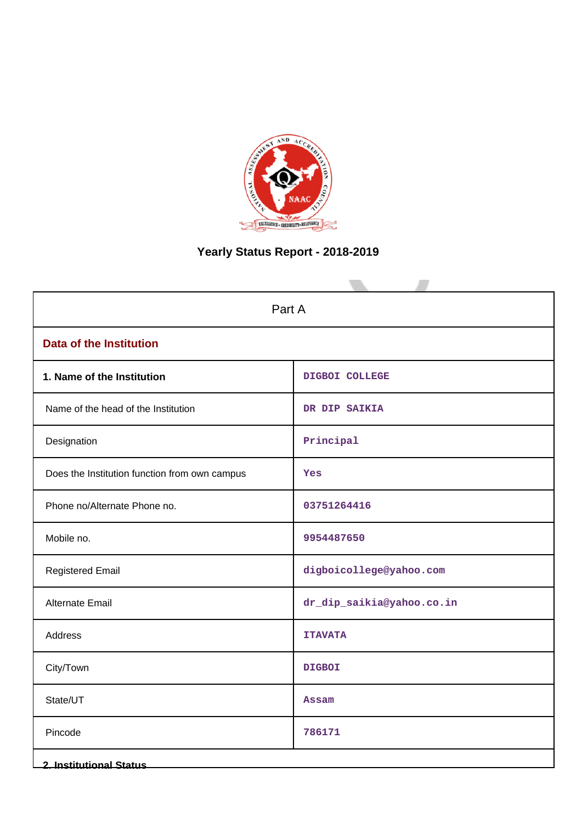

# **Yearly Status Report - 2018-2019**

| Part A                                        |                           |  |
|-----------------------------------------------|---------------------------|--|
| <b>Data of the Institution</b>                |                           |  |
| 1. Name of the Institution                    | DIGBOI COLLEGE            |  |
| Name of the head of the Institution           | DR DIP SAIKIA             |  |
| Designation                                   | Principle1                |  |
| Does the Institution function from own campus | Yes                       |  |
| Phone no/Alternate Phone no.                  | 03751264416               |  |
| Mobile no.                                    | 9954487650                |  |
| <b>Registered Email</b>                       | digboicollege@yahoo.com   |  |
| Alternate Email                               | dr_dip_saikia@yahoo.co.in |  |
| Address                                       | <b>ITAVATA</b>            |  |
| City/Town                                     | <b>DIGBOI</b>             |  |
| State/UT                                      | <b>Assam</b>              |  |
| Pincode                                       | 786171                    |  |
| <b>2. Institutional Status</b>                |                           |  |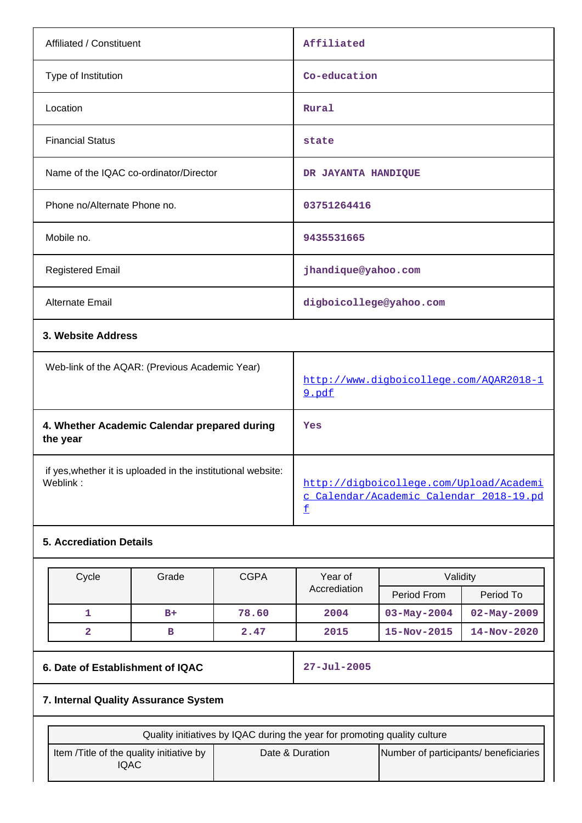| Affiliated / Constituent                                                 |       |             | Affiliated                                                                              |                                         |  |
|--------------------------------------------------------------------------|-------|-------------|-----------------------------------------------------------------------------------------|-----------------------------------------|--|
| Type of Institution                                                      |       |             | Co-education                                                                            |                                         |  |
| Location                                                                 |       |             | Rural                                                                                   |                                         |  |
| <b>Financial Status</b>                                                  |       |             | state                                                                                   |                                         |  |
| Name of the IQAC co-ordinator/Director                                   |       |             | DR JAYANTA HANDIQUE                                                                     |                                         |  |
| Phone no/Alternate Phone no.                                             |       |             | 03751264416                                                                             |                                         |  |
| Mobile no.                                                               |       |             | 9435531665                                                                              |                                         |  |
| <b>Registered Email</b>                                                  |       |             | jhandique@yahoo.com                                                                     |                                         |  |
| <b>Alternate Email</b>                                                   |       |             | digboicollege@yahoo.com                                                                 |                                         |  |
| 3. Website Address                                                       |       |             |                                                                                         |                                         |  |
| Web-link of the AQAR: (Previous Academic Year)                           |       |             | 9.pdf                                                                                   | http://www.digboicollege.com/AQAR2018-1 |  |
| 4. Whether Academic Calendar prepared during<br>the year                 |       |             | Yes                                                                                     |                                         |  |
| if yes, whether it is uploaded in the institutional website:<br>Weblink: |       |             | http://digboicollege.com/Upload/Academi<br>c_Calendar/Academic_Calendar_2018-19.pd<br>£ |                                         |  |
| <b>5. Accrediation Details</b>                                           |       |             |                                                                                         |                                         |  |
| Cycle                                                                    | Grade | <b>CGPA</b> | Year of                                                                                 | Validity                                |  |

| Cycle | Grade | <b>CGPA</b> | Year of      | Validity          |                   |
|-------|-------|-------------|--------------|-------------------|-------------------|
|       |       |             | Accrediation | Period From       | Period To         |
|       | $B+$  | 78.60       | 2004         | $03 - May - 2004$ | $02 - May - 2009$ |
|       |       | 2.47        | 2015         | $15 - Nov - 2015$ | $14 - Nov - 2020$ |

# **6. Date of Establishment of IQAC 27-Jul-2005**

# **7. Internal Quality Assurance System**

| Quality initiatives by IQAC during the year for promoting quality culture |                 |                                       |  |
|---------------------------------------------------------------------------|-----------------|---------------------------------------|--|
| Item / Title of the quality initiative by<br>IQAC                         | Date & Duration | Number of participants/ beneficiaries |  |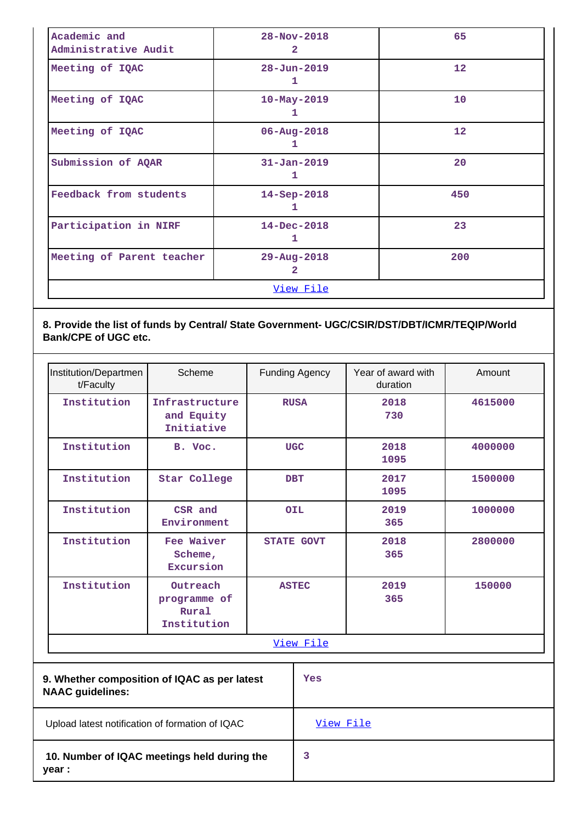| Academic and<br>Administrative Audit          | 65<br>$28 - Nov - 2018$<br>$\overline{2}$ |     |
|-----------------------------------------------|-------------------------------------------|-----|
| Meeting of IQAC                               | $28 - Jun - 2019$<br>1                    | 12  |
| Meeting of IQAC                               | $10 - May - 2019$<br>ı                    | 10  |
| Meeting of IQAC                               | $06 - Aug - 2018$<br>1                    | 12  |
| Submission of AQAR                            | $31 - Jan - 2019$<br>1                    | 20  |
| Feedback from students                        | $14 - Sep-2018$<br>ı                      | 450 |
| Participation in NIRF                         | $14 - Dec - 2018$<br>1                    | 23  |
| Meeting of Parent teacher<br>29-Aug-2018<br>2 |                                           | 200 |
|                                               | View File                                 |     |

# **8. Provide the list of funds by Central/ State Government- UGC/CSIR/DST/DBT/ICMR/TEQIP/World Bank/CPE of UGC etc.**

| Institution/Departmen<br>t/Faculty                                      | Scheme                                           |            | <b>Funding Agency</b> | Year of award with<br>duration | Amount  |
|-------------------------------------------------------------------------|--------------------------------------------------|------------|-----------------------|--------------------------------|---------|
| Institution                                                             | Infrastructure<br>and Equity<br>Initiative       |            | <b>RUSA</b>           | 2018<br>730                    | 4615000 |
| Institution                                                             | B. Voc.                                          | <b>UGC</b> |                       | 2018<br>1095                   | 4000000 |
| Institution                                                             | Star College                                     |            | <b>DBT</b>            | 2017<br>1095                   | 1500000 |
| Institution                                                             | CSR and<br>Environment                           |            | <b>OIL</b>            | 2019<br>365                    | 1000000 |
| Institution                                                             | Fee Waiver<br>Scheme,<br>Excursion               |            | <b>STATE GOVT</b>     | 2018<br>365                    | 2800000 |
| Institution                                                             | Outreach<br>programme of<br>Rural<br>Institution |            | <b>ASTEC</b>          | 2019<br>365                    | 150000  |
|                                                                         |                                                  |            | View File             |                                |         |
| 9. Whether composition of IQAC as per latest<br><b>NAAC</b> guidelines: |                                                  |            | Yes                   |                                |         |
| Upload latest notification of formation of IQAC                         |                                                  |            | View File             |                                |         |
| 10. Number of IQAC meetings held during the<br>year :                   |                                                  |            | 3                     |                                |         |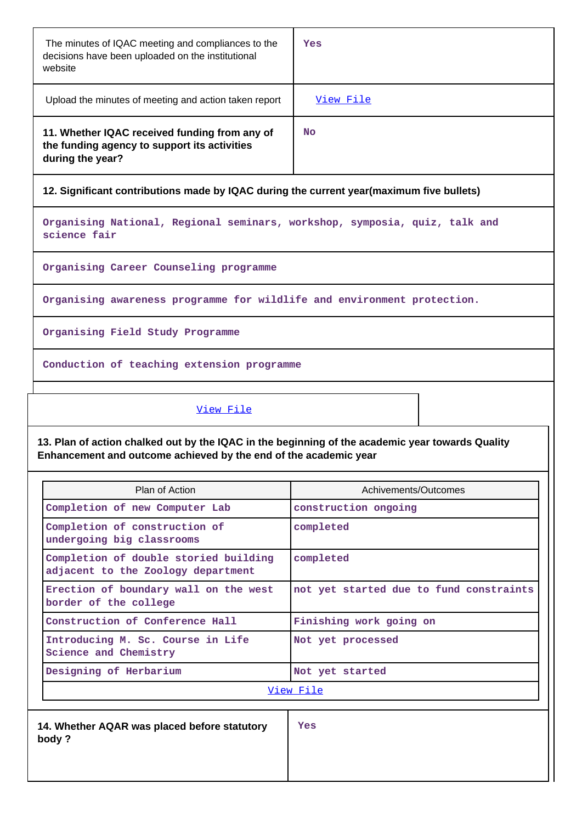| The minutes of IQAC meeting and compliances to the<br>decisions have been uploaded on the institutional<br>website | Yes       |
|--------------------------------------------------------------------------------------------------------------------|-----------|
| Upload the minutes of meeting and action taken report                                                              | View File |
| 11. Whether IQAC received funding from any of<br>the funding agency to support its activities<br>during the year?  | No.       |

**12. Significant contributions made by IQAC during the current year(maximum five bullets)**

**Organising National, Regional seminars, workshop, symposia, quiz, talk and science fair**

**Organising Career Counseling programme**

**Organising awareness programme for wildlife and environment protection.**

**Organising Field Study Programme**

**Conduction of teaching extension programme**

[View File](https://assessmentonline.naac.gov.in/public/Postacc/Contribution/2320_Contribution.xlsx)

**13. Plan of action chalked out by the IQAC in the beginning of the academic year towards Quality Enhancement and outcome achieved by the end of the academic year**

| Plan of Action                                                              | Achivements/Outcomes                    |
|-----------------------------------------------------------------------------|-----------------------------------------|
| Completion of new Computer Lab                                              | construction ongoing                    |
| Completion of construction of<br>undergoing big classrooms                  | completed                               |
| Completion of double storied building<br>adjacent to the Zoology department | completed                               |
| Erection of boundary wall on the west<br>border of the college              | not yet started due to fund constraints |
| Construction of Conference Hall                                             | Finishing work going on                 |
| Introducing M. Sc. Course in Life<br>Science and Chemistry                  | Not yet processed                       |
| Designing of Herbarium<br>Not yet started                                   |                                         |
|                                                                             | View File                               |
| 14. Whether AQAR was placed before statutory<br>body?                       | Yes                                     |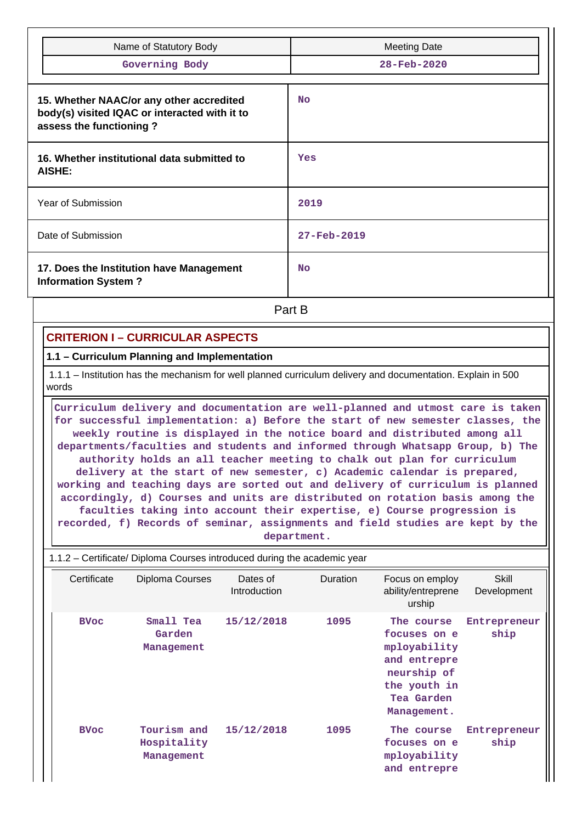| Name of Statutory Body                                                                                               | <b>Meeting Date</b> |
|----------------------------------------------------------------------------------------------------------------------|---------------------|
| Governing Body                                                                                                       | 28-Feb-2020         |
|                                                                                                                      |                     |
| 15. Whether NAAC/or any other accredited<br>body(s) visited IQAC or interacted with it to<br>assess the functioning? | <b>No</b>           |
| 16. Whether institutional data submitted to<br><b>AISHE:</b>                                                         | Yes                 |
| Year of Submission                                                                                                   | 2019                |
| Date of Submission                                                                                                   | 27-Feb-2019         |
| 17. Does the Institution have Management<br><b>Information System?</b>                                               | <b>No</b>           |

**Part B** 

# **CRITERION I – CURRICULAR ASPECTS**

### **1.1 – Curriculum Planning and Implementation**

 1.1.1 – Institution has the mechanism for well planned curriculum delivery and documentation. Explain in 500 words

 **Curriculum delivery and documentation are well-planned and utmost care is taken for successful implementation: a) Before the start of new semester classes, the weekly routine is displayed in the notice board and distributed among all departments/faculties and students and informed through Whatsapp Group, b) The authority holds an all teacher meeting to chalk out plan for curriculum delivery at the start of new semester, c) Academic calendar is prepared, working and teaching days are sorted out and delivery of curriculum is planned accordingly, d) Courses and units are distributed on rotation basis among the faculties taking into account their expertise, e) Course progression is recorded, f) Records of seminar, assignments and field studies are kept by the department.**

| 1.1.2 – Certificate/ Diploma Courses introduced during the academic year |                                          |                          |                 |                                                                                                                        |                      |
|--------------------------------------------------------------------------|------------------------------------------|--------------------------|-----------------|------------------------------------------------------------------------------------------------------------------------|----------------------|
| Certificate                                                              | Diploma Courses                          | Dates of<br>Introduction | <b>Duration</b> | Focus on employ<br>ability/entreprene<br>urship                                                                        | Skill<br>Development |
| <b>BVoc</b>                                                              | Small Tea<br>Garden<br>Management        | 15/12/2018               | 1095            | The course<br>focuses on e<br>mployability<br>and entrepre<br>neurship of<br>the youth in<br>Tea Garden<br>Management. | Entrepreneur<br>ship |
| <b>BVoc</b>                                                              | Tourism and<br>Hospitality<br>Management | 15/12/2018               | 1095            | The course<br>focuses on e<br>mployability<br>and entrepre                                                             | Entrepreneur<br>ship |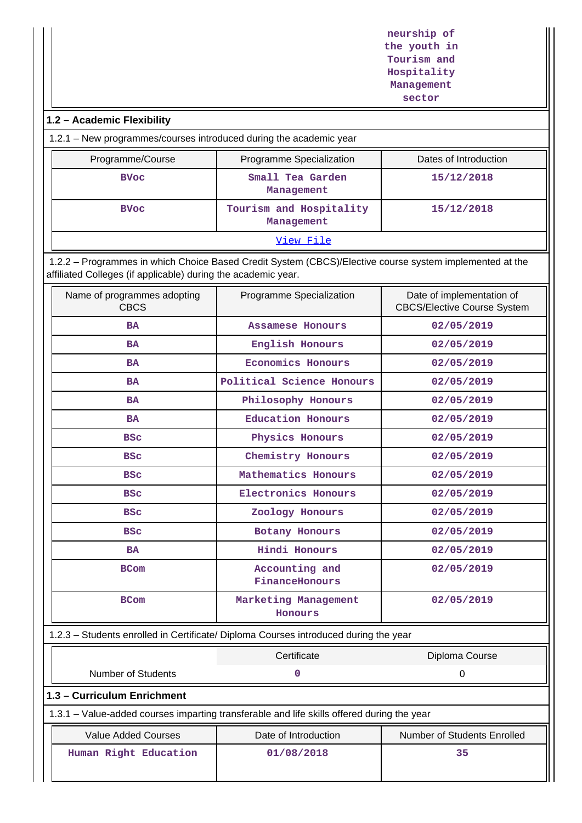**neurship of the youth in Tourism and Hospitality Management sector**

# **1.2 – Academic Flexibility**

1.2.1 – New programmes/courses introduced during the academic year

| Programme/Course | Programme Specialization              | Dates of Introduction |  |  |
|------------------|---------------------------------------|-----------------------|--|--|
| <b>BVoc</b>      | Small Tea Garden<br>Management        | 15/12/2018            |  |  |
| <b>BVoc</b>      | Tourism and Hospitality<br>Management | 15/12/2018            |  |  |
| View File        |                                       |                       |  |  |

 1.2.2 – Programmes in which Choice Based Credit System (CBCS)/Elective course system implemented at the affiliated Colleges (if applicable) during the academic year.

| Name of programmes adopting<br><b>CBCS</b>                                                 | Programme Specialization         | Date of implementation of<br><b>CBCS/Elective Course System</b> |
|--------------------------------------------------------------------------------------------|----------------------------------|-----------------------------------------------------------------|
| <b>BA</b>                                                                                  | Assamese Honours                 | 02/05/2019                                                      |
| BA                                                                                         | English Honours                  | 02/05/2019                                                      |
| <b>BA</b>                                                                                  | <b>Economics Honours</b>         | 02/05/2019                                                      |
| <b>BA</b>                                                                                  | Political Science Honours        | 02/05/2019                                                      |
| BA                                                                                         | Philosophy Honours               | 02/05/2019                                                      |
| <b>BA</b>                                                                                  | <b>Education Honours</b>         | 02/05/2019                                                      |
| <b>BSC</b>                                                                                 | Physics Honours                  | 02/05/2019                                                      |
| <b>BSC</b>                                                                                 | Chemistry Honours                | 02/05/2019                                                      |
| <b>BSC</b>                                                                                 | Mathematics Honours              | 02/05/2019                                                      |
| <b>BSC</b>                                                                                 | Electronics Honours              | 02/05/2019                                                      |
| <b>BSC</b>                                                                                 | Zoology Honours                  | 02/05/2019                                                      |
| <b>BSC</b>                                                                                 | Botany Honours                   | 02/05/2019                                                      |
| <b>BA</b>                                                                                  | Hindi Honours                    | 02/05/2019                                                      |
| <b>BCom</b>                                                                                | Accounting and<br>FinanceHonours | 02/05/2019                                                      |
| <b>BCom</b>                                                                                | Marketing Management<br>Honours  | 02/05/2019                                                      |
| 1.2.3 - Students enrolled in Certificate/ Diploma Courses introduced during the year       |                                  |                                                                 |
|                                                                                            | Certificate                      | Diploma Course                                                  |
| <b>Number of Students</b>                                                                  | 0                                | $\boldsymbol{0}$                                                |
| 1.3 - Curriculum Enrichment                                                                |                                  |                                                                 |
| 1.3.1 - Value-added courses imparting transferable and life skills offered during the year |                                  |                                                                 |
| <b>Value Added Courses</b>                                                                 | Date of Introduction             | Number of Students Enrolled                                     |
| Human Right Education                                                                      | 01/08/2018                       | 35                                                              |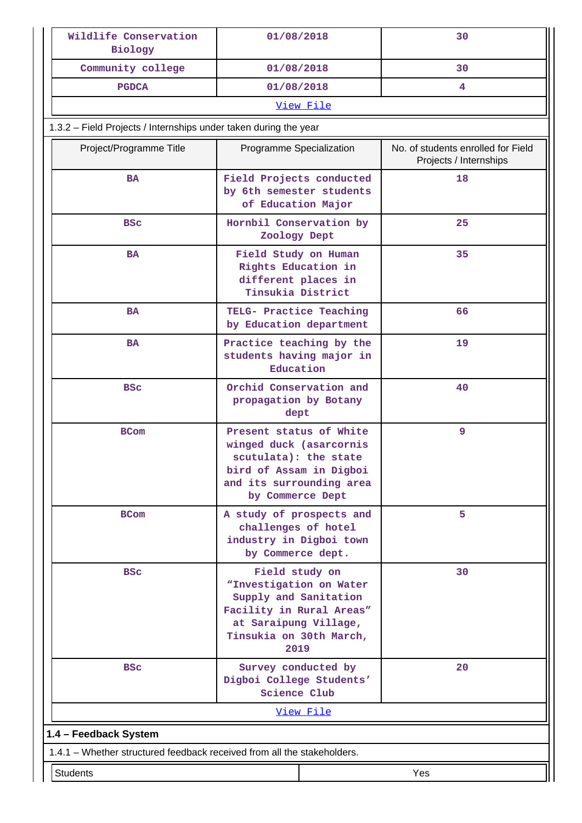| Wildlife Conservation<br>Biology                                        | 01/08/2018                                                                                                                                                 |                  | 30                                                           |  |  |
|-------------------------------------------------------------------------|------------------------------------------------------------------------------------------------------------------------------------------------------------|------------------|--------------------------------------------------------------|--|--|
| Community college                                                       | 01/08/2018                                                                                                                                                 |                  | 30                                                           |  |  |
| <b>PGDCA</b>                                                            | 01/08/2018                                                                                                                                                 |                  | 4                                                            |  |  |
|                                                                         |                                                                                                                                                            | View File        |                                                              |  |  |
| 1.3.2 - Field Projects / Internships under taken during the year        |                                                                                                                                                            |                  |                                                              |  |  |
| Project/Programme Title                                                 | Programme Specialization                                                                                                                                   |                  | No. of students enrolled for Field<br>Projects / Internships |  |  |
| <b>BA</b>                                                               | Field Projects conducted<br>by 6th semester students<br>of Education Major                                                                                 |                  | 18                                                           |  |  |
| <b>BSC</b>                                                              | Hornbil Conservation by<br>Zoology Dept                                                                                                                    |                  | 25                                                           |  |  |
| <b>BA</b>                                                               | Field Study on Human<br>Rights Education in<br>different places in<br>Tinsukia District                                                                    |                  | 35                                                           |  |  |
| <b>BA</b>                                                               | TELG- Practice Teaching<br>by Education department                                                                                                         |                  | 66                                                           |  |  |
| <b>BA</b>                                                               | Practice teaching by the<br>students having major in<br>Education                                                                                          |                  | 19                                                           |  |  |
| <b>BSC</b>                                                              | Orchid Conservation and<br>propagation by Botany<br>dept                                                                                                   |                  | 40                                                           |  |  |
| <b>BCom</b>                                                             | Present status of White<br>winged duck (asarcornis<br>scutulata): the state<br>bird of Assam in Digboi<br>and its surrounding area<br>by Commerce Dept     |                  | 9                                                            |  |  |
| <b>BCom</b>                                                             | A study of prospects and<br>challenges of hotel<br>industry in Digboi town<br>by Commerce dept.                                                            |                  | 5                                                            |  |  |
| <b>BSC</b>                                                              | Field study on<br>"Investigation on Water<br>Supply and Sanitation<br>Facility in Rural Areas"<br>at Saraipung Village,<br>Tinsukia on 30th March,<br>2019 |                  | 30                                                           |  |  |
| <b>BSC</b>                                                              | Survey conducted by<br>Digboi College Students'<br>Science Club                                                                                            |                  | 20                                                           |  |  |
|                                                                         |                                                                                                                                                            | <u>View File</u> |                                                              |  |  |
| 1.4 - Feedback System                                                   |                                                                                                                                                            |                  |                                                              |  |  |
| 1.4.1 - Whether structured feedback received from all the stakeholders. |                                                                                                                                                            |                  |                                                              |  |  |
| <b>Students</b>                                                         |                                                                                                                                                            |                  | Yes                                                          |  |  |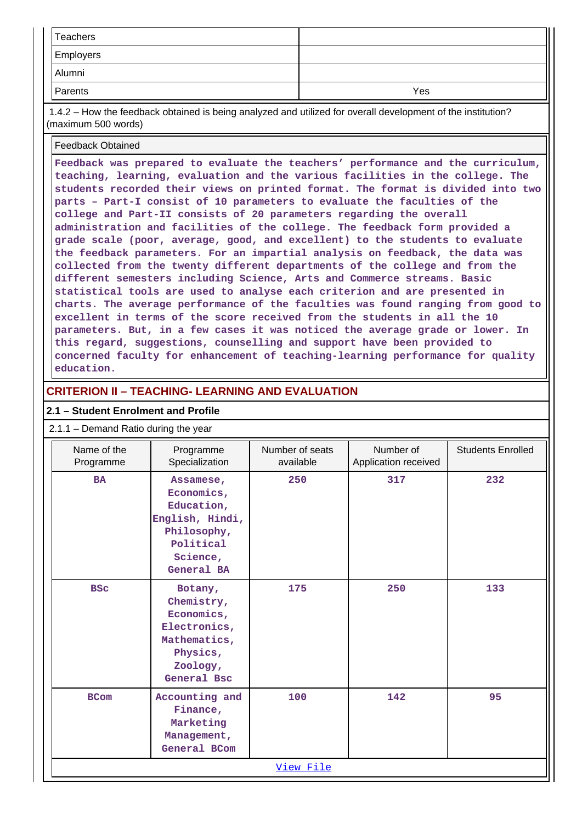| Teachers  |     |
|-----------|-----|
| Employers |     |
| Alumni    |     |
| Parents   | Yes |

 1.4.2 – How the feedback obtained is being analyzed and utilized for overall development of the institution? (maximum 500 words)

#### Feedback Obtained

**Feedback was prepared to evaluate the teachers' performance and the curriculum, teaching, learning, evaluation and the various facilities in the college. The students recorded their views on printed format. The format is divided into two parts – Part-I consist of 10 parameters to evaluate the faculties of the college and Part-II consists of 20 parameters regarding the overall administration and facilities of the college. The feedback form provided a grade scale (poor, average, good, and excellent) to the students to evaluate the feedback parameters. For an impartial analysis on feedback, the data was collected from the twenty different departments of the college and from the different semesters including Science, Arts and Commerce streams. Basic statistical tools are used to analyse each criterion and are presented in charts. The average performance of the faculties was found ranging from good to excellent in terms of the score received from the students in all the 10 parameters. But, in a few cases it was noticed the average grade or lower. In this regard, suggestions, counselling and support have been provided to concerned faculty for enhancement of teaching-learning performance for quality education.**

### **CRITERION II – TEACHING- LEARNING AND EVALUATION**

#### **2.1 – Student Enrolment and Profile**

#### 2.1.1 – Demand Ratio during the year

| Name of the<br>Programme | Programme<br>Specialization                                                                                    | Number of seats<br>available | Number of<br>Application received | <b>Students Enrolled</b> |
|--------------------------|----------------------------------------------------------------------------------------------------------------|------------------------------|-----------------------------------|--------------------------|
| <b>BA</b>                | Assamese,<br>Economics,<br>Education,<br>English, Hindi,<br>Philosophy,<br>Political<br>Science,<br>General BA | 250                          | 317                               | 232                      |
| <b>BSC</b>               | Botany,<br>Chemistry,<br>Economics,<br>Electronics,<br>Mathematics,<br>Physics,<br>Zoology,<br>General Bsc     | 175                          | 250                               | 133                      |
| <b>BCom</b>              | Accounting and<br>Finance,<br>Marketing<br>Management,<br>General BCom                                         | 100                          | 142                               | 95                       |
|                          |                                                                                                                | View File                    |                                   |                          |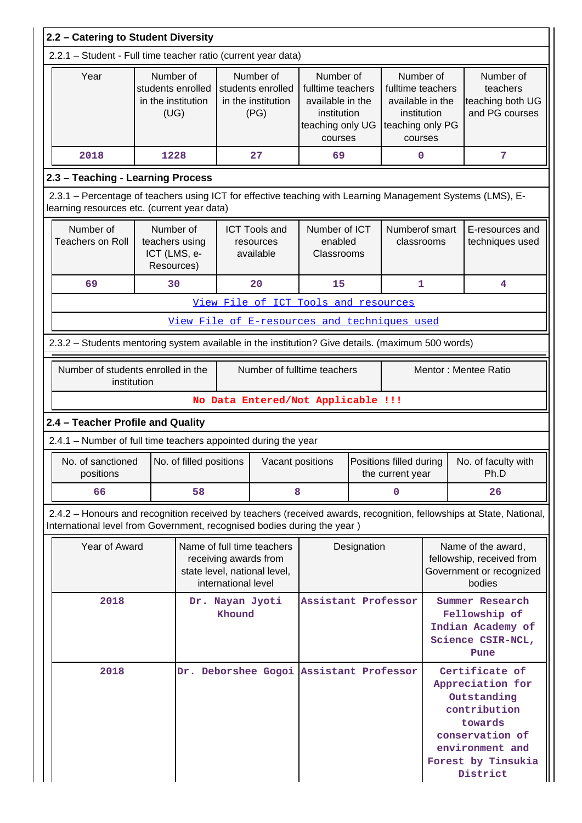| 2.2 - Catering to Student Diversity             |                                                                                                                                                           |                                                              |    |                                                                            |                                                                                     |                                                                                                  |                                               |                                                                                                  |                                                                                                                                                      |                                                                                                                     |
|-------------------------------------------------|-----------------------------------------------------------------------------------------------------------------------------------------------------------|--------------------------------------------------------------|----|----------------------------------------------------------------------------|-------------------------------------------------------------------------------------|--------------------------------------------------------------------------------------------------|-----------------------------------------------|--------------------------------------------------------------------------------------------------|------------------------------------------------------------------------------------------------------------------------------------------------------|---------------------------------------------------------------------------------------------------------------------|
|                                                 | 2.2.1 - Student - Full time teacher ratio (current year data)                                                                                             |                                                              |    |                                                                            |                                                                                     |                                                                                                  |                                               |                                                                                                  |                                                                                                                                                      |                                                                                                                     |
|                                                 | Year                                                                                                                                                      | Number of<br>students enrolled<br>in the institution<br>(UG) |    |                                                                            | Number of<br>students enrolled<br>in the institution<br>(PG)                        | Number of<br>fulltime teachers<br>available in the<br>institution<br>teaching only UG<br>courses |                                               | Number of<br>fulltime teachers<br>available in the<br>institution<br>teaching only PG<br>courses |                                                                                                                                                      | Number of<br>teachers<br>teaching both UG<br>and PG courses                                                         |
|                                                 | 2018                                                                                                                                                      | 1228                                                         |    |                                                                            | 27                                                                                  | 69                                                                                               |                                               | 0                                                                                                |                                                                                                                                                      | 7                                                                                                                   |
| 2.3 - Teaching - Learning Process               |                                                                                                                                                           |                                                              |    |                                                                            |                                                                                     |                                                                                                  |                                               |                                                                                                  |                                                                                                                                                      |                                                                                                                     |
|                                                 | 2.3.1 – Percentage of teachers using ICT for effective teaching with Learning Management Systems (LMS), E-<br>learning resources etc. (current year data) |                                                              |    |                                                                            |                                                                                     |                                                                                                  |                                               |                                                                                                  |                                                                                                                                                      |                                                                                                                     |
|                                                 | Number of<br><b>Teachers on Roll</b>                                                                                                                      | Number of<br>teachers using<br>ICT (LMS, e-<br>Resources)    |    |                                                                            | <b>ICT Tools and</b><br>resources<br>available                                      | Number of ICT<br>enabled<br>Classrooms                                                           |                                               | Numberof smart<br>classrooms                                                                     |                                                                                                                                                      | E-resources and<br>techniques used                                                                                  |
|                                                 | 69                                                                                                                                                        | 30                                                           |    |                                                                            | 20                                                                                  | 15                                                                                               |                                               | 1                                                                                                |                                                                                                                                                      | 4                                                                                                                   |
|                                                 |                                                                                                                                                           |                                                              |    |                                                                            |                                                                                     | View File of ICT Tools and resources                                                             |                                               |                                                                                                  |                                                                                                                                                      |                                                                                                                     |
|                                                 |                                                                                                                                                           |                                                              |    |                                                                            |                                                                                     | <u>View File of E-resources and techniques used</u>                                              |                                               |                                                                                                  |                                                                                                                                                      |                                                                                                                     |
|                                                 | 2.3.2 - Students mentoring system available in the institution? Give details. (maximum 500 words)                                                         |                                                              |    |                                                                            |                                                                                     |                                                                                                  |                                               |                                                                                                  |                                                                                                                                                      |                                                                                                                     |
|                                                 | Number of students enrolled in the<br>institution                                                                                                         |                                                              |    |                                                                            |                                                                                     | Mentor: Mentee Ratio<br>Number of fulltime teachers                                              |                                               |                                                                                                  |                                                                                                                                                      |                                                                                                                     |
|                                                 |                                                                                                                                                           |                                                              |    |                                                                            |                                                                                     | No Data Entered/Not Applicable !!!                                                               |                                               |                                                                                                  |                                                                                                                                                      |                                                                                                                     |
|                                                 | 2.4 - Teacher Profile and Quality                                                                                                                         |                                                              |    |                                                                            |                                                                                     |                                                                                                  |                                               |                                                                                                  |                                                                                                                                                      |                                                                                                                     |
|                                                 | 2.4.1 - Number of full time teachers appointed during the year                                                                                            |                                                              |    |                                                                            |                                                                                     |                                                                                                  |                                               |                                                                                                  |                                                                                                                                                      |                                                                                                                     |
|                                                 | positions                                                                                                                                                 |                                                              |    | No. of sanctioned $\vert$ No. of filled positions $\vert$ Vacant positions |                                                                                     |                                                                                                  | Positions filled during  <br>the current year |                                                                                                  | No. of faculty with<br>Ph.D                                                                                                                          |                                                                                                                     |
|                                                 | 66                                                                                                                                                        |                                                              | 58 | 8                                                                          |                                                                                     |                                                                                                  | 0                                             |                                                                                                  | 26                                                                                                                                                   |                                                                                                                     |
|                                                 | International level from Government, recognised bodies during the year )                                                                                  |                                                              |    |                                                                            |                                                                                     |                                                                                                  |                                               |                                                                                                  |                                                                                                                                                      | 2.4.2 - Honours and recognition received by teachers (received awards, recognition, fellowships at State, National, |
|                                                 | Year of Award                                                                                                                                             |                                                              |    | international level                                                        | Name of full time teachers<br>receiving awards from<br>state level, national level, |                                                                                                  | Designation                                   |                                                                                                  |                                                                                                                                                      | Name of the award,<br>fellowship, received from<br>Government or recognized<br>bodies                               |
|                                                 | 2018<br>Dr. Nayan Jyoti<br>Khound                                                                                                                         |                                                              |    |                                                                            | Assistant Professor                                                                 |                                                                                                  |                                               |                                                                                                  | Summer Research<br>Fellowship of<br>Indian Academy of<br>Science CSIR-NCL,<br>Pune                                                                   |                                                                                                                     |
| 2018<br>Dr. Deborshee Gogoi Assistant Professor |                                                                                                                                                           |                                                              |    |                                                                            |                                                                                     |                                                                                                  |                                               |                                                                                                  | Certificate of<br>Appreciation for<br>Outstanding<br>contribution<br>towards<br>conservation of<br>environment and<br>Forest by Tinsukia<br>District |                                                                                                                     |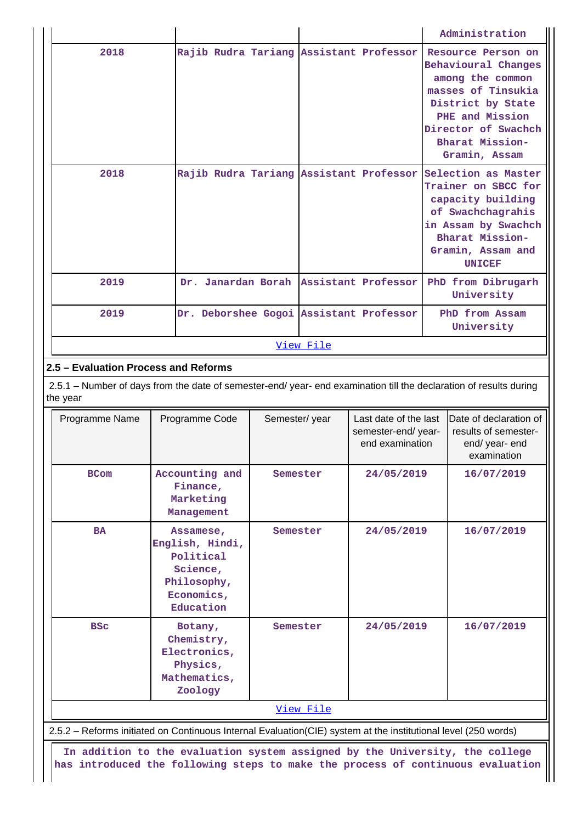|                  |                                         |  |  |  | Administration                                                                                                                                                                                               |  |  |  |  |
|------------------|-----------------------------------------|--|--|--|--------------------------------------------------------------------------------------------------------------------------------------------------------------------------------------------------------------|--|--|--|--|
| 2018             | Rajib Rudra Tariang Assistant Professor |  |  |  | Resource Person on<br>Behavioural Changes<br>among the common<br>masses of Tinsukia<br>District by State<br>PHE and Mission<br>Director of Swachch<br>Bharat Mission-<br>Gramin, Assam                       |  |  |  |  |
| 2018             |                                         |  |  |  | Rajib Rudra Tariang Assistant Professor Selection as Master<br>Trainer on SBCC for<br>capacity building<br>of Swachchagrahis<br>in Assam by Swachch<br>Bharat Mission-<br>Gramin, Assam and<br><b>UNICEF</b> |  |  |  |  |
| 2019             | Dr. Janardan Borah Assistant Professor  |  |  |  | PhD from Dibrugarh<br>University                                                                                                                                                                             |  |  |  |  |
| 2019             | Dr. Deborshee Gogoi Assistant Professor |  |  |  | PhD from Assam<br>University                                                                                                                                                                                 |  |  |  |  |
| <u>View File</u> |                                         |  |  |  |                                                                                                                                                                                                              |  |  |  |  |

# **2.5 – Evaluation Process and Reforms**

 2.5.1 – Number of days from the date of semester-end/ year- end examination till the declaration of results during the year

| Programme Name | Programme Code                                                                                  | Semester/year | Last date of the last<br>semester-end/year-<br>end examination | Date of declaration of<br>results of semester-<br>end/ year- end<br>examination |
|----------------|-------------------------------------------------------------------------------------------------|---------------|----------------------------------------------------------------|---------------------------------------------------------------------------------|
| <b>BCom</b>    | Accounting and<br>Finance,<br>Marketing<br>Management                                           | Semester      | 24/05/2019                                                     | 16/07/2019                                                                      |
| <b>BA</b>      | Assamese,<br>English, Hindi,<br>Political<br>Science,<br>Philosophy,<br>Economics,<br>Education | Semester      | 24/05/2019                                                     | 16/07/2019                                                                      |
| <b>BSC</b>     | Botany,<br>Chemistry,<br>Electronics,<br>Physics,<br>Mathematics,<br>Zoology                    | Semester      | 24/05/2019                                                     | 16/07/2019                                                                      |
|                |                                                                                                 | View File     |                                                                |                                                                                 |

2.5.2 – Reforms initiated on Continuous Internal Evaluation(CIE) system at the institutional level (250 words)

 **In addition to the evaluation system assigned by the University, the college has introduced the following steps to make the process of continuous evaluation**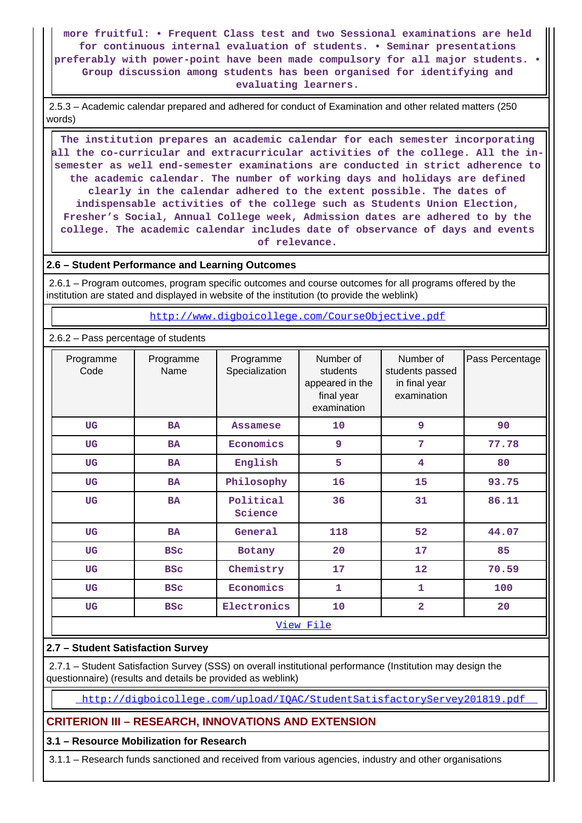**more fruitful: • Frequent Class test and two Sessional examinations are held for continuous internal evaluation of students. • Seminar presentations preferably with power-point have been made compulsory for all major students. • Group discussion among students has been organised for identifying and evaluating learners.**

 2.5.3 – Academic calendar prepared and adhered for conduct of Examination and other related matters (250 words)

 **The institution prepares an academic calendar for each semester incorporating all the co-curricular and extracurricular activities of the college. All the insemester as well end-semester examinations are conducted in strict adherence to the academic calendar. The number of working days and holidays are defined clearly in the calendar adhered to the extent possible. The dates of indispensable activities of the college such as Students Union Election, Fresher's Social, Annual College week, Admission dates are adhered to by the college. The academic calendar includes date of observance of days and events of relevance.**

### **2.6 – Student Performance and Learning Outcomes**

 2.6.1 – Program outcomes, program specific outcomes and course outcomes for all programs offered by the institution are stated and displayed in website of the institution (to provide the weblink)

<http://www.digboicollege.com/CourseObjective.pdf>

### 2.6.2 – Pass percentage of students

| Programme<br>Code | Programme<br>Name | Programme<br>Specialization | Number of<br>students<br>appeared in the<br>final year<br>examination | Number of<br>students passed<br>in final year<br>examination | Pass Percentage |  |  |  |  |
|-------------------|-------------------|-----------------------------|-----------------------------------------------------------------------|--------------------------------------------------------------|-----------------|--|--|--|--|
| <b>UG</b>         | <b>BA</b>         | <b>Assamese</b>             | 10                                                                    | 9                                                            | 90              |  |  |  |  |
| <b>UG</b>         | <b>BA</b>         | Economics                   | 9                                                                     | 7                                                            | 77.78           |  |  |  |  |
| <b>UG</b>         | <b>BA</b>         | English                     | 5                                                                     | 4                                                            | 80              |  |  |  |  |
| <b>UG</b>         | <b>BA</b>         | Philosophy                  | 16                                                                    | 15                                                           | 93.75           |  |  |  |  |
| <b>UG</b>         | <b>BA</b>         | Political<br>Science        | 36                                                                    | 31                                                           | 86.11           |  |  |  |  |
| <b>UG</b>         | <b>BA</b>         | General                     | 118                                                                   | 52                                                           | 44.07           |  |  |  |  |
| UG                | <b>BSC</b>        | Botany                      | 20                                                                    | 17                                                           | 85              |  |  |  |  |
| UG                | <b>BSC</b>        | Chemistry                   | 17                                                                    | 12                                                           | 70.59           |  |  |  |  |
| <b>UG</b>         | <b>BSC</b>        | Economics                   | 1                                                                     | $\mathbf{1}$                                                 | 100             |  |  |  |  |
| UG                | <b>BSC</b>        |                             | 10                                                                    | 2                                                            | 20              |  |  |  |  |
|                   | View File         |                             |                                                                       |                                                              |                 |  |  |  |  |

### **2.7 – Student Satisfaction Survey**

 2.7.1 – Student Satisfaction Survey (SSS) on overall institutional performance (Institution may design the questionnaire) (results and details be provided as weblink)

<http://digboicollege.com/upload/IQAC/StudentSatisfactoryServey201819.pdf>

### **CRITERION III – RESEARCH, INNOVATIONS AND EXTENSION**

### **3.1 – Resource Mobilization for Research**

3.1.1 – Research funds sanctioned and received from various agencies, industry and other organisations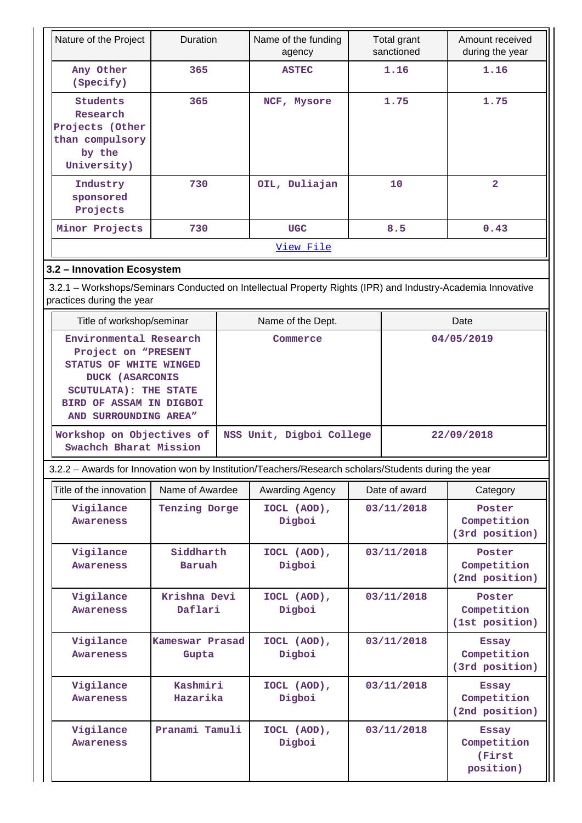| Nature of the Project                                                                                                                                                                                              | Duration                 |  | Name of the funding<br>agency        |      | Total grant<br>sanctioned | Amount received<br>during the year                 |  |
|--------------------------------------------------------------------------------------------------------------------------------------------------------------------------------------------------------------------|--------------------------|--|--------------------------------------|------|---------------------------|----------------------------------------------------|--|
| Any Other<br>(Specify)                                                                                                                                                                                             | 365                      |  | <b>ASTEC</b>                         |      | 1.16                      | 1.16                                               |  |
| <b>Students</b><br>Research<br>Projects (Other<br>than compulsory<br>by the<br>University)                                                                                                                         | 365                      |  | NCF, Mysore                          | 1.75 |                           | 1.75                                               |  |
| Industry<br>sponsored<br>Projects                                                                                                                                                                                  | 730                      |  | OIL, Duliajan                        |      | 10                        | $\overline{2}$                                     |  |
| Minor Projects                                                                                                                                                                                                     | 730                      |  | <b>UGC</b>                           |      | 8.5                       | 0.43                                               |  |
|                                                                                                                                                                                                                    |                          |  | View File                            |      |                           |                                                    |  |
| 3.2 - Innovation Ecosystem                                                                                                                                                                                         |                          |  |                                      |      |                           |                                                    |  |
| 3.2.1 - Workshops/Seminars Conducted on Intellectual Property Rights (IPR) and Industry-Academia Innovative<br>practices during the year                                                                           |                          |  |                                      |      |                           |                                                    |  |
| Title of workshop/seminar                                                                                                                                                                                          |                          |  | Name of the Dept.                    |      |                           | Date                                               |  |
| Environmental Research<br>Project on "PRESENT<br>STATUS OF WHITE WINGED<br><b>DUCK (ASARCONIS</b><br><b>SCUTULATA): THE STATE</b><br>BIRD OF ASSAM IN DIGBOI<br>AND SURROUNDING AREA"<br>Workshop on Objectives of |                          |  | Commerce<br>NSS Unit, Digboi College |      |                           | 04/05/2019<br>22/09/2018                           |  |
| Swachch Bharat Mission                                                                                                                                                                                             |                          |  |                                      |      |                           |                                                    |  |
| 3.2.2 - Awards for Innovation won by Institution/Teachers/Research scholars/Students during the year                                                                                                               |                          |  |                                      |      |                           |                                                    |  |
| Title of the innovation                                                                                                                                                                                            | Name of Awardee          |  | Awarding Agency                      |      | Date of award             | Category                                           |  |
| Vigilance<br>Awareness                                                                                                                                                                                             | Tenzing Dorge            |  | IOCL (AOD),<br>Digboi                |      | 03/11/2018                | Poster<br>Competition<br>(3rd position)            |  |
| Vigilance<br>Awareness                                                                                                                                                                                             | Siddharth<br>Baruah      |  | IOCL (AOD),<br>Digboi                |      | 03/11/2018                | Poster<br>Competition<br>(2nd position)            |  |
| Vigilance<br><b>Awareness</b>                                                                                                                                                                                      | Krishna Devi<br>Daflari  |  | IOCL (AOD),<br>Digboi                |      | 03/11/2018                | Poster<br>Competition<br>(1st position)            |  |
| Vigilance<br><b>Awareness</b>                                                                                                                                                                                      | Kameswar Prasad<br>Gupta |  | IOCL (AOD),<br>Digboi                |      | 03/11/2018                | <b>Essay</b><br>Competition<br>(3rd position)      |  |
| Vigilance<br>Awareness                                                                                                                                                                                             | Kashmiri<br>Hazarika     |  | IOCL (AOD),<br>Digboi                |      | 03/11/2018                | <b>Essay</b><br>Competition<br>(2nd position)      |  |
| Vigilance<br>Awareness                                                                                                                                                                                             | Pranami Tamuli           |  | IOCL (AOD),<br>Digboi                |      | 03/11/2018                | <b>Essay</b><br>Competition<br>(First<br>position) |  |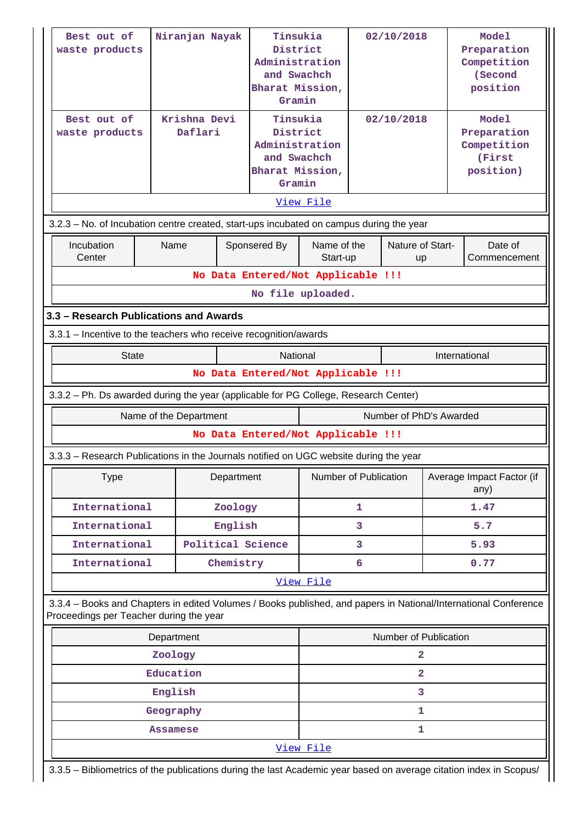| Best out of<br>waste products<br>Best out of<br>waste products                                                                                             | Niranjan Nayak<br>Krishna Devi<br>Daflari |                                    | Tinsukia<br>District<br>Administration<br>and Swachch<br>Bharat Mission,<br>Gramin<br>Tinsukia<br>District<br>Administration<br>and Swachch<br>Bharat Mission,<br>Gramin<br>View File |                       | 02/10/2018<br>02/10/2018 |                         | <b>Model</b><br>Preparation<br>Competition<br>(Second<br>position<br><b>Model</b><br>Preparation<br>Competition<br>(First<br>position) |  |
|------------------------------------------------------------------------------------------------------------------------------------------------------------|-------------------------------------------|------------------------------------|---------------------------------------------------------------------------------------------------------------------------------------------------------------------------------------|-----------------------|--------------------------|-------------------------|----------------------------------------------------------------------------------------------------------------------------------------|--|
| 3.2.3 - No. of Incubation centre created, start-ups incubated on campus during the year<br>Incubation                                                      | Name                                      |                                    | Sponsered By                                                                                                                                                                          | Name of the           |                          | Nature of Start-        | Date of                                                                                                                                |  |
| Center                                                                                                                                                     |                                           | No Data Entered/Not Applicable !!! |                                                                                                                                                                                       | Start-up              |                          | up                      | Commencement                                                                                                                           |  |
|                                                                                                                                                            |                                           |                                    | No file uploaded.                                                                                                                                                                     |                       |                          |                         |                                                                                                                                        |  |
| 3.3 - Research Publications and Awards                                                                                                                     |                                           |                                    |                                                                                                                                                                                       |                       |                          |                         |                                                                                                                                        |  |
| 3.3.1 - Incentive to the teachers who receive recognition/awards                                                                                           |                                           |                                    |                                                                                                                                                                                       |                       |                          |                         |                                                                                                                                        |  |
| <b>State</b>                                                                                                                                               |                                           |                                    | National                                                                                                                                                                              |                       |                          |                         | International                                                                                                                          |  |
|                                                                                                                                                            |                                           | No Data Entered/Not Applicable !!! |                                                                                                                                                                                       |                       |                          |                         |                                                                                                                                        |  |
| 3.3.2 - Ph. Ds awarded during the year (applicable for PG College, Research Center)                                                                        |                                           |                                    |                                                                                                                                                                                       |                       |                          |                         |                                                                                                                                        |  |
| Name of the Department                                                                                                                                     |                                           |                                    |                                                                                                                                                                                       |                       |                          |                         |                                                                                                                                        |  |
|                                                                                                                                                            |                                           |                                    |                                                                                                                                                                                       |                       |                          | Number of PhD's Awarded |                                                                                                                                        |  |
|                                                                                                                                                            |                                           | No Data Entered/Not Applicable !!! |                                                                                                                                                                                       |                       |                          |                         |                                                                                                                                        |  |
| 3.3.3 - Research Publications in the Journals notified on UGC website during the year                                                                      |                                           |                                    |                                                                                                                                                                                       |                       |                          |                         |                                                                                                                                        |  |
| <b>Type</b>                                                                                                                                                |                                           | Department                         |                                                                                                                                                                                       | Number of Publication |                          |                         | Average Impact Factor (if<br>any)                                                                                                      |  |
| International                                                                                                                                              |                                           | Zoology                            |                                                                                                                                                                                       |                       | 1                        |                         | 1.47                                                                                                                                   |  |
| International                                                                                                                                              |                                           | English                            |                                                                                                                                                                                       |                       | 3                        |                         | 5.7                                                                                                                                    |  |
| International                                                                                                                                              |                                           | Political Science                  |                                                                                                                                                                                       |                       | 3                        |                         | 5.93                                                                                                                                   |  |
| International                                                                                                                                              |                                           | Chemistry                          |                                                                                                                                                                                       |                       | 6                        |                         | 0.77                                                                                                                                   |  |
| 3.3.4 - Books and Chapters in edited Volumes / Books published, and papers in National/International Conference<br>Proceedings per Teacher during the year |                                           |                                    |                                                                                                                                                                                       | View File             |                          |                         |                                                                                                                                        |  |
|                                                                                                                                                            |                                           |                                    |                                                                                                                                                                                       |                       |                          | Number of Publication   |                                                                                                                                        |  |
|                                                                                                                                                            | Department<br>Zoology                     |                                    |                                                                                                                                                                                       |                       |                          | $\overline{a}$          |                                                                                                                                        |  |
|                                                                                                                                                            | Education                                 |                                    |                                                                                                                                                                                       |                       |                          | $\overline{a}$          |                                                                                                                                        |  |
|                                                                                                                                                            | English                                   |                                    |                                                                                                                                                                                       |                       |                          | 3                       |                                                                                                                                        |  |
|                                                                                                                                                            | Geography                                 |                                    |                                                                                                                                                                                       |                       |                          | 1                       |                                                                                                                                        |  |
|                                                                                                                                                            | Assamese                                  |                                    |                                                                                                                                                                                       |                       |                          | 1                       |                                                                                                                                        |  |
|                                                                                                                                                            |                                           |                                    |                                                                                                                                                                                       | View File             |                          |                         |                                                                                                                                        |  |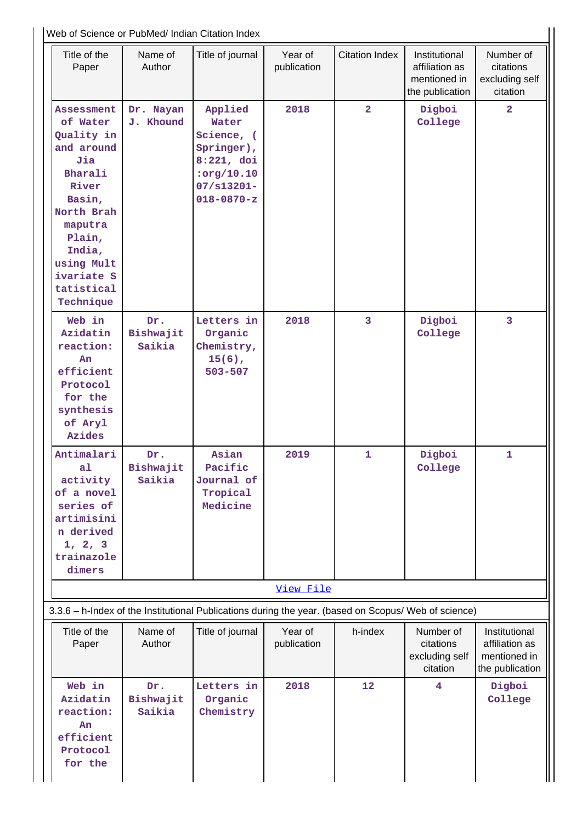|                                                                                                                                                                                                    |                            | Web of Science or PubMed/ Indian Citation Index                                                                  |                        |                       |                                                                    |                                                                    |
|----------------------------------------------------------------------------------------------------------------------------------------------------------------------------------------------------|----------------------------|------------------------------------------------------------------------------------------------------------------|------------------------|-----------------------|--------------------------------------------------------------------|--------------------------------------------------------------------|
| Title of the<br>Paper                                                                                                                                                                              | Name of<br>Author          | Title of journal                                                                                                 | Year of<br>publication | <b>Citation Index</b> | Institutional<br>affiliation as<br>mentioned in<br>the publication | Number of<br>citations<br>excluding self<br>citation               |
| <b>Assessment</b><br>of Water<br>Quality in<br>and around<br>Jia<br>Bharali<br>River<br>Basin,<br>North Brah<br>maputra<br>Plain,<br>India,<br>using Mult<br>ivariate S<br>tatistical<br>Technique | Dr. Nayan<br>J. Khound     | Applied<br>Water<br>Science, (<br>Springer),<br>$8:221$ , doi<br>:org/10.10<br>$07/s13201 -$<br>$018 - 0870 - z$ | 2018                   | $\overline{2}$        | Digboi<br>College                                                  | $\overline{2}$                                                     |
| Web in<br>Azidatin<br>reaction:<br>An<br>efficient<br>Protocol<br>for the<br>synthesis<br>of Aryl<br><b>Azides</b>                                                                                 | Dr.<br>Bishwajit<br>Saikia | Letters in<br>Organic<br>Chemistry,<br>$15(6)$ ,<br>$503 - 507$                                                  | 2018                   | 3                     | Digboi<br>College                                                  | 3                                                                  |
| Antimalari<br>a1<br>activity<br>of a novel<br>series of<br>artimisini<br>n derived<br>1, 2, 3<br>trainazole<br>dimers                                                                              | Dr.<br>Bishwajit<br>Saikia | Asian<br>Pacific<br>Journal of<br>Tropical<br>Medicine                                                           | 2019                   | 1                     | Digboi<br>College                                                  | $\mathbf 1$                                                        |
|                                                                                                                                                                                                    |                            |                                                                                                                  | View File              |                       |                                                                    |                                                                    |
| 3.3.6 - h-Index of the Institutional Publications during the year. (based on Scopus/ Web of science)                                                                                               |                            |                                                                                                                  |                        |                       |                                                                    |                                                                    |
| Title of the<br>Paper                                                                                                                                                                              | Name of<br>Author          | Title of journal                                                                                                 | Year of<br>publication | h-index               | Number of<br>citations<br>excluding self<br>citation               | Institutional<br>affiliation as<br>mentioned in<br>the publication |
| Web in<br>Azidatin<br>reaction:<br>An<br>efficient<br>Protocol<br>for the                                                                                                                          | Dr.<br>Bishwajit<br>Saikia | Letters in<br>Organic<br>Chemistry                                                                               | 2018                   | 12                    | 4                                                                  | Digboi<br>College                                                  |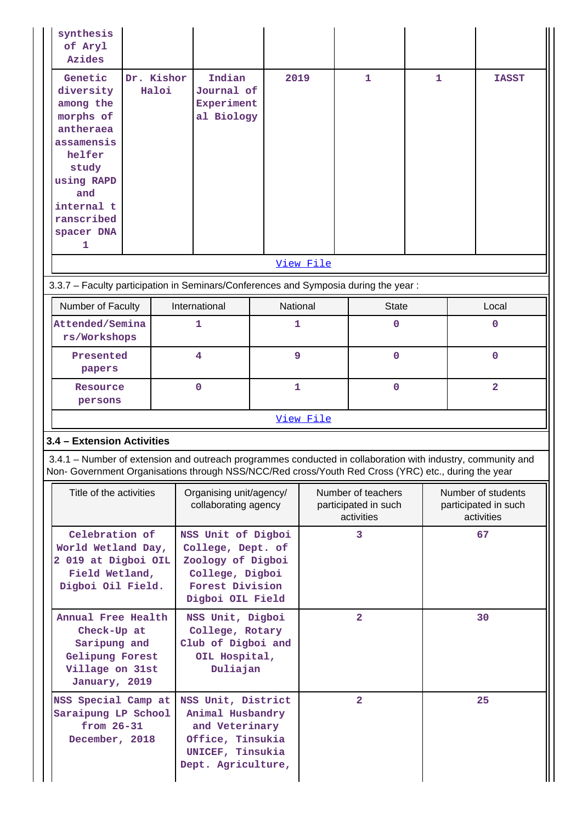| synthesis<br>of Aryl<br><b>Azides</b>                                                                                                                                                              |                     |                                                                                                                                                                                                                    |              |                |                                                          |   |                |                                                          |  |
|----------------------------------------------------------------------------------------------------------------------------------------------------------------------------------------------------|---------------------|--------------------------------------------------------------------------------------------------------------------------------------------------------------------------------------------------------------------|--------------|----------------|----------------------------------------------------------|---|----------------|----------------------------------------------------------|--|
| Genetic<br>diversity<br>among the<br>morphs of<br>antheraea<br>assamensis<br>helfer<br>study<br>using RAPD<br>and<br>internal t<br>ranscribed<br>spacer DNA<br>1                                   | Dr. Kishor<br>Haloi | Indian<br>Journal of<br>Experiment<br>al Biology                                                                                                                                                                   |              | 2019           | 1                                                        | 1 |                | <b>TASST</b>                                             |  |
|                                                                                                                                                                                                    |                     |                                                                                                                                                                                                                    |              | View File      |                                                          |   |                |                                                          |  |
|                                                                                                                                                                                                    |                     | 3.3.7 - Faculty participation in Seminars/Conferences and Symposia during the year:                                                                                                                                |              |                |                                                          |   |                |                                                          |  |
| Number of Faculty                                                                                                                                                                                  |                     | International                                                                                                                                                                                                      |              | National       | <b>State</b>                                             |   |                | Local                                                    |  |
| Attended/Semina<br>rs/Workshops                                                                                                                                                                    |                     | 1                                                                                                                                                                                                                  |              | 1              | 0                                                        |   |                | $\mathbf 0$                                              |  |
| Presented<br>papers                                                                                                                                                                                |                     | 4                                                                                                                                                                                                                  |              | 9              | $\mathbf 0$                                              |   | $\mathbf{O}$   |                                                          |  |
| Resource<br>persons                                                                                                                                                                                |                     | $\Omega$                                                                                                                                                                                                           | $\mathbf{1}$ |                | $\mathbf 0$                                              |   | $\overline{2}$ |                                                          |  |
|                                                                                                                                                                                                    |                     |                                                                                                                                                                                                                    | View File    |                |                                                          |   |                |                                                          |  |
| 3.4 - Extension Activities                                                                                                                                                                         |                     |                                                                                                                                                                                                                    |              |                |                                                          |   |                |                                                          |  |
|                                                                                                                                                                                                    |                     | 3.4.1 – Number of extension and outreach programmes conducted in collaboration with industry, community and<br>Non- Government Organisations through NSS/NCC/Red cross/Youth Red Cross (YRC) etc., during the year |              |                |                                                          |   |                |                                                          |  |
| Title of the activities                                                                                                                                                                            |                     | Organising unit/agency/<br>collaborating agency                                                                                                                                                                    |              |                | Number of teachers<br>participated in such<br>activities |   |                | Number of students<br>participated in such<br>activities |  |
| Celebration of<br>World Wetland Day,<br>2 019 at Digboi OIL<br>Field Wetland,<br>Digboi Oil Field.                                                                                                 |                     | NSS Unit of Digboi<br>College, Dept. of<br>Zoology of Digboi<br>College, Digboi<br>Forest Division<br>Digboi OIL Field                                                                                             |              |                | 3                                                        |   | 67             |                                                          |  |
| Annual Free Health<br>NSS Unit, Digboi<br>Check-Up at<br>College, Rotary<br>Saripung and<br>Club of Digboi and<br>Gelipung Forest<br>OIL Hospital,<br>Village on 31st<br>Duliajan<br>January, 2019 |                     |                                                                                                                                                                                                                    |              | $\overline{2}$ |                                                          |   | 30             |                                                          |  |
| NSS Special Camp at<br>Saraipung LP School<br>from $26-31$<br>December, 2018                                                                                                                       |                     | NSS Unit, District<br>Animal Husbandry<br>and Veterinary<br>Office, Tinsukia<br>UNICEF, Tinsukia<br>Dept. Agriculture,                                                                                             |              |                | $\overline{a}$                                           |   |                | 25                                                       |  |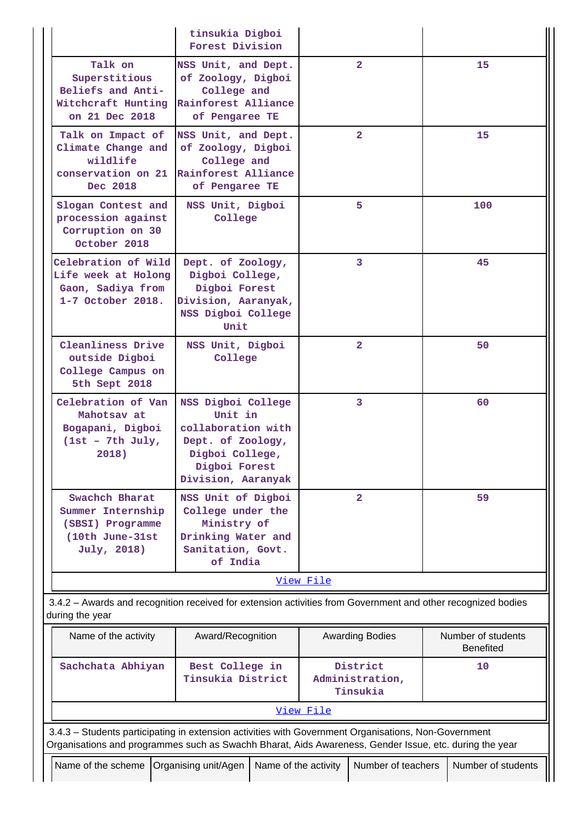|                                                                                                                                                                                                                | tinsukia Digboi<br>Forest Division                                                                                                 |                                         |                        |  |                                        |
|----------------------------------------------------------------------------------------------------------------------------------------------------------------------------------------------------------------|------------------------------------------------------------------------------------------------------------------------------------|-----------------------------------------|------------------------|--|----------------------------------------|
| Talk on<br>Superstitious<br>Beliefs and Anti-<br>Witchcraft Hunting<br>on 21 Dec 2018                                                                                                                          | NSS Unit, and Dept.<br>of Zoology, Digboi<br>College and<br>Rainforest Alliance<br>of Pengaree TE                                  |                                         | $\mathbf{2}$           |  | 15                                     |
| Talk on Impact of<br>Climate Change and<br>wildlife<br>conservation on 21<br>Dec 2018                                                                                                                          | NSS Unit, and Dept.<br>of Zoology, Digboi<br>College and<br>Rainforest Alliance<br>of Pengaree TE                                  |                                         | $\mathbf{2}$           |  | 15                                     |
| Slogan Contest and<br>procession against<br>Corruption on 30<br>October 2018                                                                                                                                   | NSS Unit, Digboi<br>College                                                                                                        |                                         | 5.                     |  | 100                                    |
| Celebration of Wild<br>Life week at Holong<br>Gaon, Sadiya from<br>1-7 October 2018.                                                                                                                           | Dept. of Zoology,<br>Digboi College,<br>Digboi Forest<br>Division, Aaranyak,<br>NSS Digboi College<br>Unit                         |                                         | 3                      |  | 45                                     |
| Cleanliness Drive<br>outside Digboi<br>College Campus on<br>5th Sept 2018                                                                                                                                      | NSS Unit, Digboi<br>College                                                                                                        |                                         | $\overline{2}$         |  | 50                                     |
| Celebration of Van<br>Mahotsay at<br>Bogapani, Digboi<br>$1st - 7th July,$<br>2018)                                                                                                                            | NSS Digboi College<br>Unit in<br>collaboration with<br>Dept. of Zoology,<br>Digboi College,<br>Digboi Forest<br>Division, Aaranyak |                                         | 3                      |  | 60                                     |
| Swachch Bharat<br>Summer Internship<br>(SBSI) Programme<br>(10th June-31st<br>July, 2018)                                                                                                                      | NSS Unit of Digboi<br>College under the<br>Ministry of<br>Drinking Water and<br>Sanitation, Govt.<br>of India                      |                                         | $\overline{2}$         |  | 59                                     |
|                                                                                                                                                                                                                |                                                                                                                                    | View File                               |                        |  |                                        |
| 3.4.2 - Awards and recognition received for extension activities from Government and other recognized bodies<br>during the year                                                                                |                                                                                                                                    |                                         |                        |  |                                        |
| Name of the activity                                                                                                                                                                                           | Award/Recognition                                                                                                                  |                                         | <b>Awarding Bodies</b> |  | Number of students<br><b>Benefited</b> |
| Sachchata Abhiyan                                                                                                                                                                                              | Best College in<br>Tinsukia District                                                                                               | District<br>Administration,<br>Tinsukia |                        |  | 10                                     |
|                                                                                                                                                                                                                |                                                                                                                                    | View File                               |                        |  |                                        |
| 3.4.3 - Students participating in extension activities with Government Organisations, Non-Government<br>Organisations and programmes such as Swachh Bharat, Aids Awareness, Gender Issue, etc. during the year |                                                                                                                                    |                                         |                        |  |                                        |
| Name of the scheme   Organising unit/Agen   Name of the activity<br>Number of teachers<br>Number of students                                                                                                   |                                                                                                                                    |                                         |                        |  |                                        |

 $\parallel \parallel$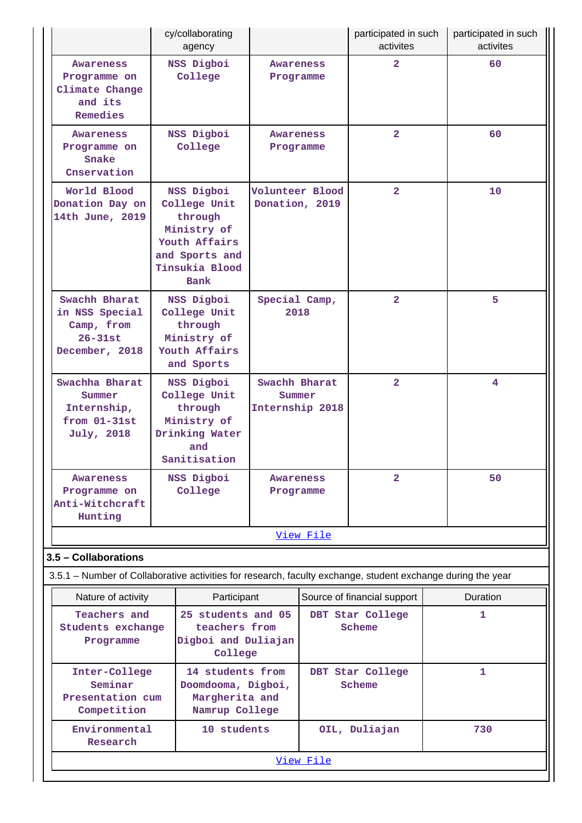|                                                                                                             | cy/collaborating<br>agency                                                                                               |                                            |                            | participated in such<br>activites |  | participated in such<br>activites |
|-------------------------------------------------------------------------------------------------------------|--------------------------------------------------------------------------------------------------------------------------|--------------------------------------------|----------------------------|-----------------------------------|--|-----------------------------------|
| Awareness<br>Programme on<br>Climate Change<br>and its<br>Remedies                                          | NSS Digboi<br>College                                                                                                    | Awareness<br>Programme                     |                            | $\overline{\mathbf{2}}$           |  | 60                                |
| <b>Awareness</b><br>Programme on<br>Snake<br>Cnservation                                                    | NSS Digboi<br>College                                                                                                    | Awareness<br>Programme                     |                            | $\overline{2}$                    |  | 60                                |
| World Blood<br>Donation Day on<br>14th June, 2019                                                           | NSS Digboi<br>College Unit<br>through<br>Ministry of<br>Youth Affairs<br>and Sports and<br>Tinsukia Blood<br><b>Bank</b> | Volunteer Blood<br>Donation, 2019          |                            | $\overline{2}$                    |  | 10                                |
| Swachh Bharat<br>in NSS Special<br>Camp, from<br>$26 - 31st$<br>December, 2018                              | NSS Digboi<br>College Unit<br>through<br>Ministry of<br>Youth Affairs<br>and Sports                                      | Special Camp,<br>2018                      |                            | $\overline{2}$                    |  | 5                                 |
| Swachha Bharat<br>Summer<br>Internship,<br>$from 01-31st$<br>July, 2018                                     | NSS Digboi<br>College Unit<br>through<br>Ministry of<br>Drinking Water<br>and<br>Sanitisation                            | Swachh Bharat<br>Summer<br>Internship 2018 |                            | $\overline{2}$                    |  | 4                                 |
| Awareness<br>Programme on<br>Anti-Witchcraft<br>Hunting                                                     | NSS Digboi<br>College                                                                                                    | <b>Awareness</b><br>Programme              |                            | $\mathbf{2}$                      |  | 50                                |
| 3.5 - Collaborations                                                                                        |                                                                                                                          |                                            | View File                  |                                   |  |                                   |
| 3.5.1 – Number of Collaborative activities for research, faculty exchange, student exchange during the year |                                                                                                                          |                                            |                            |                                   |  |                                   |
| Nature of activity                                                                                          | Participant                                                                                                              |                                            |                            | Source of financial support       |  | <b>Duration</b>                   |
| Teachers and<br>Students exchange<br>Programme                                                              | 25 students and 05<br>teachers from<br>Digboi and Duliajan<br>College                                                    |                                            | DBT Star College<br>Scheme |                                   |  | 1                                 |
| Inter-College<br>Seminar<br>Presentation cum<br>Competition                                                 | 14 students from<br>Doomdooma, Digboi,<br>Margherita and<br>Namrup College                                               |                                            |                            | DBT Star College<br>Scheme        |  | 1                                 |
| Environmental<br>Research                                                                                   | 10 students                                                                                                              |                                            |                            | OIL, Duliajan                     |  | 730                               |
|                                                                                                             |                                                                                                                          |                                            | View File                  |                                   |  |                                   |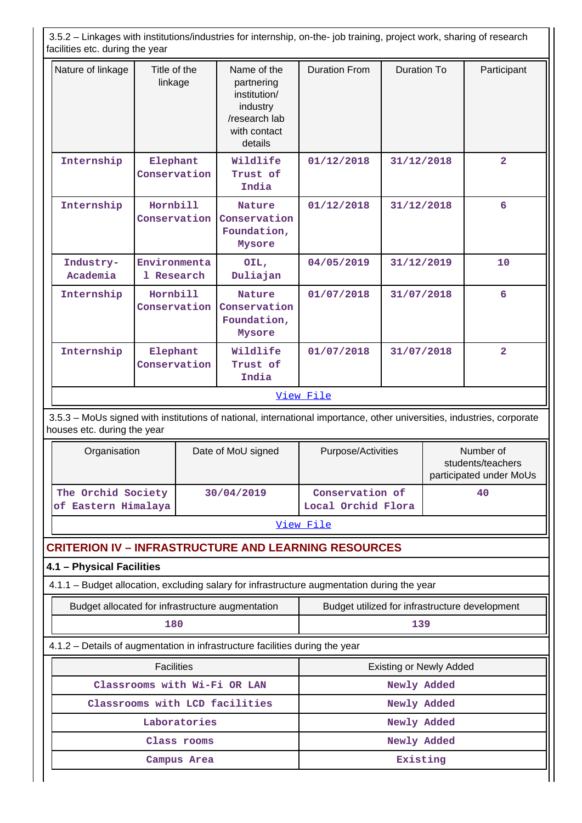3.5.2 – Linkages with institutions/industries for internship, on-the- job training, project work, sharing of research facilities etc. during the year

| Nature of linkage     | Title of the<br>linkage    | Name of the<br>partnering<br>institution/<br>industry<br>/research lab<br>with contact<br>details | <b>Duration From</b> | Duration To | Participant    |
|-----------------------|----------------------------|---------------------------------------------------------------------------------------------------|----------------------|-------------|----------------|
| Internship            | Elephant<br>Conservation   | Wildlife<br>Trust of<br>India                                                                     | 01/12/2018           | 31/12/2018  | $\overline{2}$ |
| Internship            | Hornbill<br>Conservation   | <b>Nature</b><br>Conservation<br>Foundation,<br>Mysore                                            | 01/12/2018           | 31/12/2018  | 6              |
| Industry-<br>Academia | Environmenta<br>1 Research | OIL,<br>Duliajan                                                                                  | 04/05/2019           | 31/12/2019  | 10             |
| Internship            | Hornbill<br>Conservation   | <b>Nature</b><br>Conservation<br>Foundation,<br>Mysore                                            | 01/07/2018           | 31/07/2018  | 6              |
| Internship            | Elephant<br>Conservation   | Wildlife<br>Trust of<br>India                                                                     | 01/07/2018           | 31/07/2018  | $\overline{a}$ |
|                       |                            |                                                                                                   | View File            |             |                |

 3.5.3 – MoUs signed with institutions of national, international importance, other universities, industries, corporate houses etc. during the year

| Organisation                              | Date of MoU signed | Purpose/Activities                    | Number of<br>students/teachers<br>participated under MoUs |
|-------------------------------------------|--------------------|---------------------------------------|-----------------------------------------------------------|
| The Orchid Society<br>of Eastern Himalaya | 30/04/2019         | Conservation of<br>Local Orchid Flora | 40                                                        |

[View File](https://assessmentonline.naac.gov.in/public/Postacc/MoU/2320_MoU_1584178173.xlsx)

## **CRITERION IV – INFRASTRUCTURE AND LEARNING RESOURCES**

# **4.1 – Physical Facilities**

4.1.1 – Budget allocation, excluding salary for infrastructure augmentation during the year

| Budget allocated for infrastructure augmentation                             | Budget utilized for infrastructure development |  |  |  |  |  |
|------------------------------------------------------------------------------|------------------------------------------------|--|--|--|--|--|
| 180                                                                          | 139                                            |  |  |  |  |  |
| 4.1.2 – Details of augmentation in infrastructure facilities during the year |                                                |  |  |  |  |  |
| <b>Facilities</b>                                                            | <b>Existing or Newly Added</b>                 |  |  |  |  |  |
| Classrooms with Wi-Fi OR LAN                                                 | Newly Added                                    |  |  |  |  |  |
| Classrooms with LCD facilities                                               | Newly Added                                    |  |  |  |  |  |

Laboratories **Newly** Added **Class rooms Newly Added Campus Area Existing**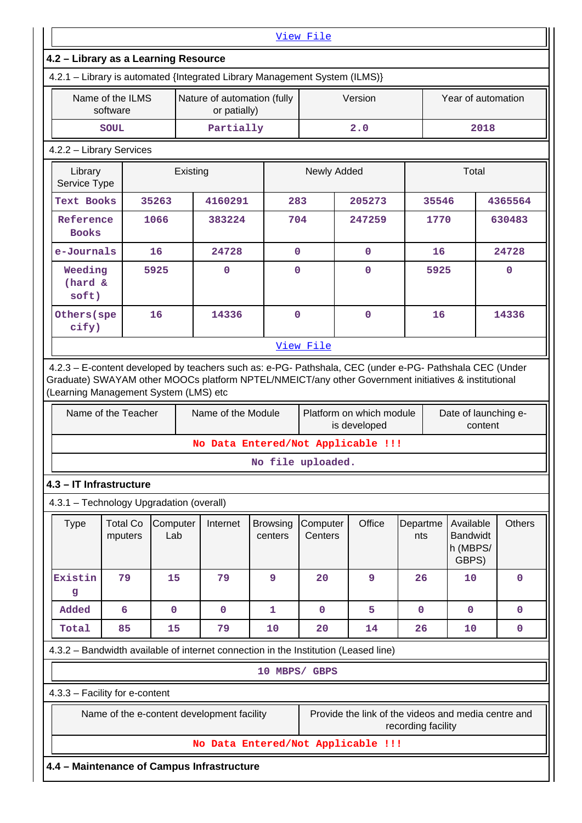|                                                                                                                                              |                              |                 |          |                                             |                                    | View File           |                                                     |                    |       |                                                   |               |
|----------------------------------------------------------------------------------------------------------------------------------------------|------------------------------|-----------------|----------|---------------------------------------------|------------------------------------|---------------------|-----------------------------------------------------|--------------------|-------|---------------------------------------------------|---------------|
| 4.2 - Library as a Learning Resource<br>4.2.1 - Library is automated {Integrated Library Management System (ILMS)}                           |                              |                 |          |                                             |                                    |                     |                                                     |                    |       |                                                   |               |
|                                                                                                                                              | Name of the ILMS<br>software |                 |          | Nature of automation (fully<br>or patially) |                                    |                     | Version                                             |                    |       | Year of automation                                |               |
|                                                                                                                                              | <b>SOUL</b>                  |                 |          | Partially                                   |                                    |                     | 2.0                                                 |                    |       | 2018                                              |               |
| 4.2.2 - Library Services                                                                                                                     |                              |                 |          |                                             |                                    |                     |                                                     |                    |       |                                                   |               |
| Library<br>Service Type                                                                                                                      |                              |                 | Existing |                                             |                                    | Newly Added         |                                                     |                    | Total |                                                   |               |
| <b>Text Books</b>                                                                                                                            |                              | 35263           |          | 4160291                                     | 283                                |                     | 205273                                              |                    | 35546 |                                                   | 4365564       |
| Reference<br><b>Books</b>                                                                                                                    |                              | 1066            |          | 383224                                      | 704                                |                     | 247259                                              |                    | 1770  |                                                   | 630483        |
| e-Journals                                                                                                                                   |                              | 16              |          | 24728                                       | $\mathbf 0$                        |                     | $\mathbf 0$                                         |                    | 16    |                                                   | 24728         |
| Weeding<br>(hard &<br>soft)                                                                                                                  |                              | 5925            |          | $\mathbf 0$                                 | $\overline{0}$                     |                     | $\mathbf 0$                                         |                    | 5925  |                                                   | $\mathbf 0$   |
| Others (spe<br>cify)                                                                                                                         |                              | 16              |          | 14336                                       | $\mathbf 0$                        |                     | $\mathbf 0$                                         |                    | 16    |                                                   | 14336         |
|                                                                                                                                              |                              |                 |          |                                             |                                    | View File           |                                                     |                    |       |                                                   |               |
| Graduate) SWAYAM other MOOCs platform NPTEL/NMEICT/any other Government initiatives & institutional<br>(Learning Management System (LMS) etc | Name of the Teacher          |                 |          | Name of the Module                          |                                    |                     | Platform on which module<br>is developed            |                    |       | Date of launching e-<br>content                   |               |
|                                                                                                                                              |                              |                 |          |                                             | No Data Entered/Not Applicable !!! |                     |                                                     |                    |       |                                                   |               |
|                                                                                                                                              |                              |                 |          |                                             |                                    | No file uploaded.   |                                                     |                    |       |                                                   |               |
| 4.3 - IT Infrastructure                                                                                                                      |                              |                 |          |                                             |                                    |                     |                                                     |                    |       |                                                   |               |
| 4.3.1 - Technology Upgradation (overall)                                                                                                     |                              |                 |          |                                             |                                    |                     |                                                     |                    |       |                                                   |               |
| <b>Type</b>                                                                                                                                  | <b>Total Co</b><br>mputers   | Computer<br>Lab |          | Internet                                    | <b>Browsing</b><br>centers         | Computer<br>Centers | Office                                              | Departme<br>nts    |       | Available<br><b>Bandwidt</b><br>h (MBPS/<br>GBPS) | <b>Others</b> |
| Existin<br>g                                                                                                                                 | 79                           | 15              |          | 79                                          | 9                                  | 20                  | 9                                                   | 26                 |       | 10                                                | $\mathbf 0$   |
| Added                                                                                                                                        | 6                            | $\mathbf 0$     |          | $\mathbf 0$                                 | 1                                  | $\mathbf 0$         | 5                                                   | $\mathbf 0$        |       | $\mathbf 0$                                       | $\mathbf 0$   |
| Total                                                                                                                                        | 85                           | 15              |          | 79                                          | 10                                 | 20                  | 14                                                  | 26                 |       | 10                                                | $\mathbf 0$   |
| 4.3.2 – Bandwidth available of internet connection in the Institution (Leased line)                                                          |                              |                 |          |                                             |                                    |                     |                                                     |                    |       |                                                   |               |
|                                                                                                                                              |                              |                 |          |                                             | 10 MBPS/ GBPS                      |                     |                                                     |                    |       |                                                   |               |
| 4.3.3 - Facility for e-content                                                                                                               |                              |                 |          |                                             |                                    |                     |                                                     |                    |       |                                                   |               |
|                                                                                                                                              |                              |                 |          | Name of the e-content development facility  |                                    |                     | Provide the link of the videos and media centre and | recording facility |       |                                                   |               |
|                                                                                                                                              |                              |                 |          |                                             | No Data Entered/Not Applicable !!! |                     |                                                     |                    |       |                                                   |               |
| 4.4 - Maintenance of Campus Infrastructure                                                                                                   |                              |                 |          |                                             |                                    |                     |                                                     |                    |       |                                                   |               |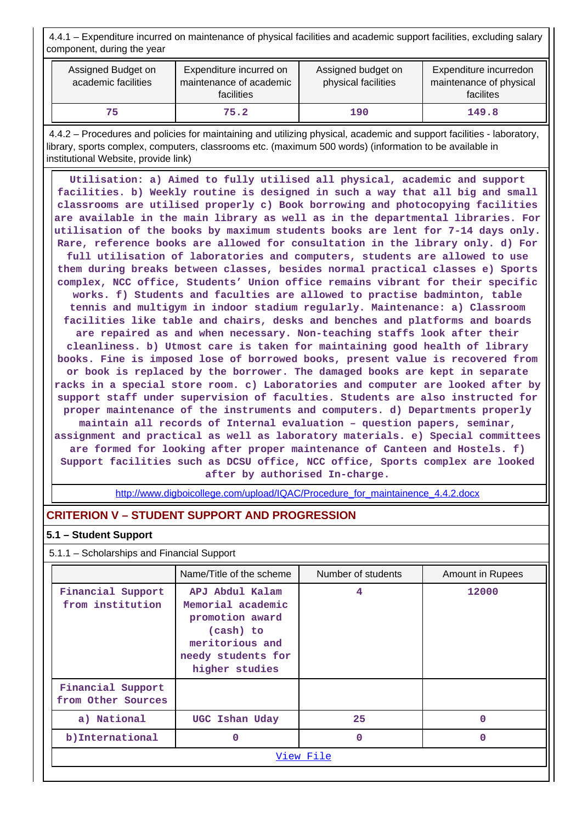4.4.1 – Expenditure incurred on maintenance of physical facilities and academic support facilities, excluding salary component, during the year

| Assigned Budget on<br>Expenditure incurred on<br>academic facilities<br>maintenance of academic<br>facilities |      | Assigned budget on<br>physical facilities | Expenditure incurredon<br>maintenance of physical<br>facilites |  |
|---------------------------------------------------------------------------------------------------------------|------|-------------------------------------------|----------------------------------------------------------------|--|
| 75                                                                                                            | 75.2 | 190                                       | 149.8                                                          |  |

 4.4.2 – Procedures and policies for maintaining and utilizing physical, academic and support facilities - laboratory, library, sports complex, computers, classrooms etc. (maximum 500 words) (information to be available in institutional Website, provide link)

 **Utilisation: a) Aimed to fully utilised all physical, academic and support facilities. b) Weekly routine is designed in such a way that all big and small classrooms are utilised properly c) Book borrowing and photocopying facilities are available in the main library as well as in the departmental libraries. For utilisation of the books by maximum students books are lent for 7-14 days only. Rare, reference books are allowed for consultation in the library only. d) For full utilisation of laboratories and computers, students are allowed to use them during breaks between classes, besides normal practical classes e) Sports complex, NCC office, Students' Union office remains vibrant for their specific works. f) Students and faculties are allowed to practise badminton, table tennis and multigym in indoor stadium regularly. Maintenance: a) Classroom facilities like table and chairs, desks and benches and platforms and boards are repaired as and when necessary. Non-teaching staffs look after their cleanliness. b) Utmost care is taken for maintaining good health of library books. Fine is imposed lose of borrowed books, present value is recovered from or book is replaced by the borrower. The damaged books are kept in separate racks in a special store room. c) Laboratories and computer are looked after by support staff under supervision of faculties. Students are also instructed for proper maintenance of the instruments and computers. d) Departments properly maintain all records of Internal evaluation – question papers, seminar, assignment and practical as well as laboratory materials. e) Special committees are formed for looking after proper maintenance of Canteen and Hostels. f) Support facilities such as DCSU office, NCC office, Sports complex are looked after by authorised In-charge.**

[http://www.digboicollege.com/upload/IQAC/Procedure\\_for\\_maintainence\\_4.4.2.docx](http://www.digboicollege.com/upload/IQAC/Procedure_for_maintainence_4.4.2.docx)

## **CRITERION V – STUDENT SUPPORT AND PROGRESSION**

#### **5.1 – Student Support**

5.1.1 – Scholarships and Financial Support

|                                                                                                                                                                          | Name/Title of the scheme | Number of students | Amount in Rupees |  |  |
|--------------------------------------------------------------------------------------------------------------------------------------------------------------------------|--------------------------|--------------------|------------------|--|--|
| APJ Abdul Kalam<br>Financial Support<br>from institution<br>Memorial academic<br>promotion award<br>(cash) to<br>meritorious and<br>needy students for<br>higher studies |                          | 4                  | 12000            |  |  |
| Financial Support<br>from Other Sources                                                                                                                                  |                          |                    |                  |  |  |
| a) National                                                                                                                                                              | UGC Ishan Uday           | 25                 | O                |  |  |
| b) International<br>0                                                                                                                                                    |                          | 0                  | O                |  |  |
| View File                                                                                                                                                                |                          |                    |                  |  |  |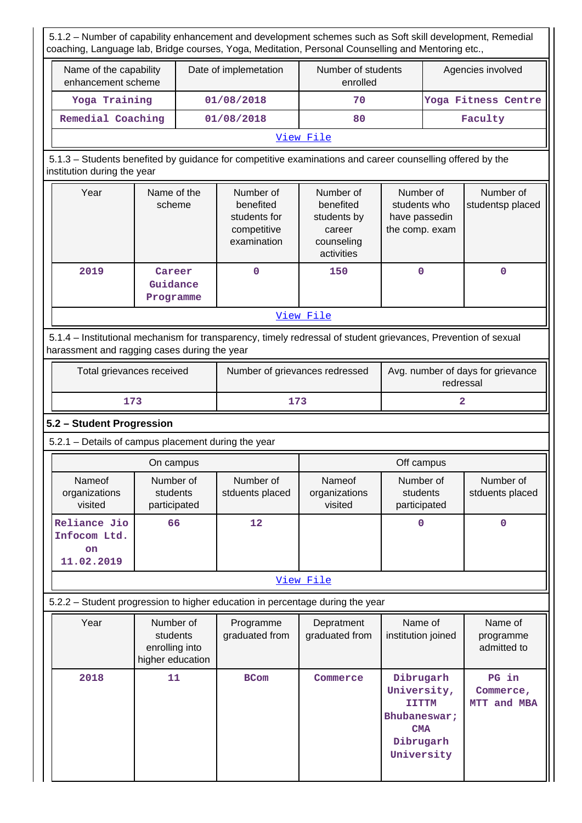5.1.2 – Number of capability enhancement and development schemes such as Soft skill development, Remedial coaching, Language lab, Bridge courses, Yoga, Meditation, Personal Counselling and Mentoring etc.,

| Name of the capability<br>enhancement scheme | Date of implemetation | Number of students<br>enrolled | Agencies involved   |  |  |  |
|----------------------------------------------|-----------------------|--------------------------------|---------------------|--|--|--|
| Yoga Training                                | 01/08/2018            | 70                             | Yoga Fitness Centre |  |  |  |
| Remedial Coaching                            | 01/08/2018            | 80                             | Faculty             |  |  |  |
| -- -<br>_                                    |                       |                                |                     |  |  |  |

#### [View File](https://assessmentonline.naac.gov.in/public/Postacc/Development_Schemes/2320_Development_Schemes_1584192089.xlsx)

# 5.1.3 – Students benefited by guidance for competitive examinations and career counselling offered by the institution during the year

| Year      | Name of the<br>scheme           | Number of<br>benefited<br>students for<br>competitive<br>examination | Number of<br>benefited<br>students by<br>career<br>counseling<br>activities | Number of<br>students who<br>have passedin<br>the comp. exam | Number of<br>studentsp placed |  |  |
|-----------|---------------------------------|----------------------------------------------------------------------|-----------------------------------------------------------------------------|--------------------------------------------------------------|-------------------------------|--|--|
| 2019      | Career<br>Guidance<br>Programme | 0                                                                    | 150                                                                         | $\mathbf 0$                                                  | 0                             |  |  |
| View File |                                 |                                                                      |                                                                             |                                                              |                               |  |  |

## 5.1.4 – Institutional mechanism for transparency, timely redressal of student grievances, Prevention of sexual harassment and ragging cases during the year

| Total grievances received | Number of grievances redressed | Avg. number of days for grievance<br>redressal |
|---------------------------|--------------------------------|------------------------------------------------|
| 173                       | 173                            |                                                |

## **5.2 – Student Progression**

5.2.1 – Details of campus placement during the year

|                                                         | On campus                             |                              | Off campus                                |                                       |                              |  |
|---------------------------------------------------------|---------------------------------------|------------------------------|-------------------------------------------|---------------------------------------|------------------------------|--|
| Nameof<br>organizations<br>visited                      | Number of<br>students<br>participated | Number of<br>stduents placed | <b>Nameof</b><br>organizations<br>visited | Number of<br>students<br>participated | Number of<br>stduents placed |  |
| Reliance Jio<br>Infocom Ltd.<br><b>on</b><br>11.02.2019 | 66                                    | 12                           |                                           | 0                                     | 0                            |  |

### [View File](https://assessmentonline.naac.gov.in/public/Postacc/Placement/2320_Placement_1584192196.xlsx)

# 5.2.2 – Student progression to higher education in percentage during the year

| Year | Number of<br>students<br>enrolling into<br>higher education | Programme<br>graduated from | Depratment<br>graduated from | Name of<br>institution joined                                                                     | Name of<br>programme<br>admitted to  |
|------|-------------------------------------------------------------|-----------------------------|------------------------------|---------------------------------------------------------------------------------------------------|--------------------------------------|
| 2018 | 11                                                          | <b>BCom</b>                 | Commerce                     | Dibrugarh<br>University,<br><b>IITTM</b><br>Bhubaneswar;<br><b>CMA</b><br>Dibrugarh<br>University | PG in<br>Commerce,<br>and MBA<br>MTT |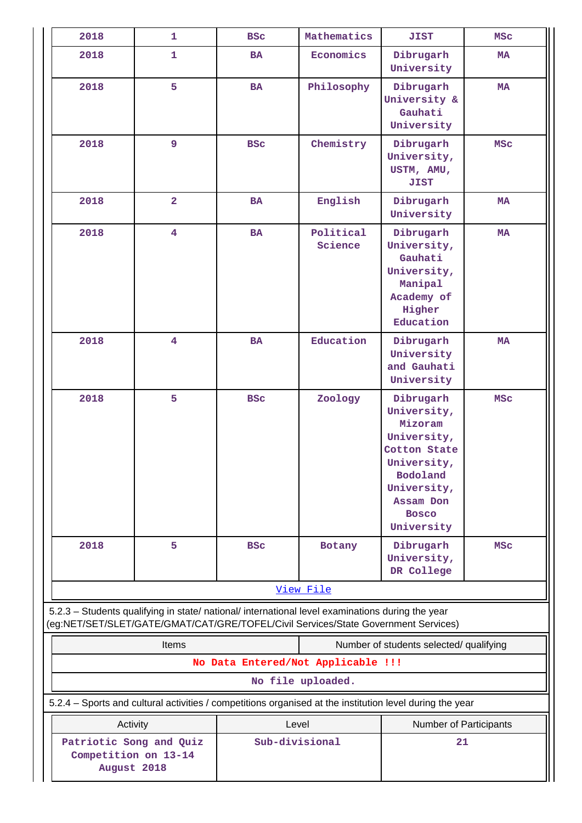| 2018                                                           | 1                                                                                                                                                                                      | <b>BSC</b>     | Mathematics                        | JIST                                                                                                                                                    | <b>MSC</b> |
|----------------------------------------------------------------|----------------------------------------------------------------------------------------------------------------------------------------------------------------------------------------|----------------|------------------------------------|---------------------------------------------------------------------------------------------------------------------------------------------------------|------------|
| 2018                                                           | $\mathbf{1}$                                                                                                                                                                           | <b>BA</b>      | Economics                          | Dibrugarh<br>University                                                                                                                                 | <b>MA</b>  |
| 2018                                                           | 5                                                                                                                                                                                      | <b>BA</b>      | Philosophy                         | Dibrugarh<br>University &<br>Gauhati<br>University                                                                                                      | MA         |
| 2018                                                           | 9                                                                                                                                                                                      | <b>BSC</b>     | Chemistry                          | Dibrugarh<br>University,<br>USTM, AMU,<br><b>JIST</b>                                                                                                   | <b>MSC</b> |
| 2018                                                           | $\overline{a}$                                                                                                                                                                         | <b>BA</b>      | English                            | Dibrugarh<br>University                                                                                                                                 | <b>MA</b>  |
| 2018                                                           | $\overline{\mathbf{4}}$                                                                                                                                                                | <b>BA</b>      | Political<br>Science               | Dibrugarh<br>University,<br>Gauhati<br>University,<br>Manipal<br>Academy of<br>Higher<br>Education                                                      | <b>MA</b>  |
| 2018                                                           | $\overline{\mathbf{4}}$                                                                                                                                                                | <b>BA</b>      | Education                          | Dibrugarh<br>University<br>and Gauhati<br>University                                                                                                    | <b>MA</b>  |
| 2018                                                           | 5                                                                                                                                                                                      | <b>BSC</b>     | Zoology                            | Dibrugarh<br>University,<br>Mizoram<br>University,<br>Cotton State<br>University,<br>Bodoland<br>University,<br>Assam Don<br><b>Bosco</b><br>University | <b>MSC</b> |
| 2018                                                           | 5                                                                                                                                                                                      | <b>BSC</b>     | Botany                             | Dibrugarh<br>University,<br>DR College                                                                                                                  | <b>MSC</b> |
|                                                                |                                                                                                                                                                                        |                | View File                          |                                                                                                                                                         |            |
|                                                                | 5.2.3 - Students qualifying in state/ national/ international level examinations during the year<br>(eg:NET/SET/SLET/GATE/GMAT/CAT/GRE/TOFEL/Civil Services/State Government Services) |                |                                    |                                                                                                                                                         |            |
|                                                                | Items                                                                                                                                                                                  |                |                                    | Number of students selected/ qualifying                                                                                                                 |            |
|                                                                |                                                                                                                                                                                        |                | No Data Entered/Not Applicable !!! |                                                                                                                                                         |            |
|                                                                |                                                                                                                                                                                        |                | No file uploaded.                  |                                                                                                                                                         |            |
|                                                                | 5.2.4 - Sports and cultural activities / competitions organised at the institution level during the year                                                                               |                |                                    |                                                                                                                                                         |            |
| Activity                                                       |                                                                                                                                                                                        | Level          |                                    | Number of Participants                                                                                                                                  |            |
| Patriotic Song and Quiz<br>Competition on 13-14<br>August 2018 |                                                                                                                                                                                        | Sub-divisional |                                    | 21                                                                                                                                                      |            |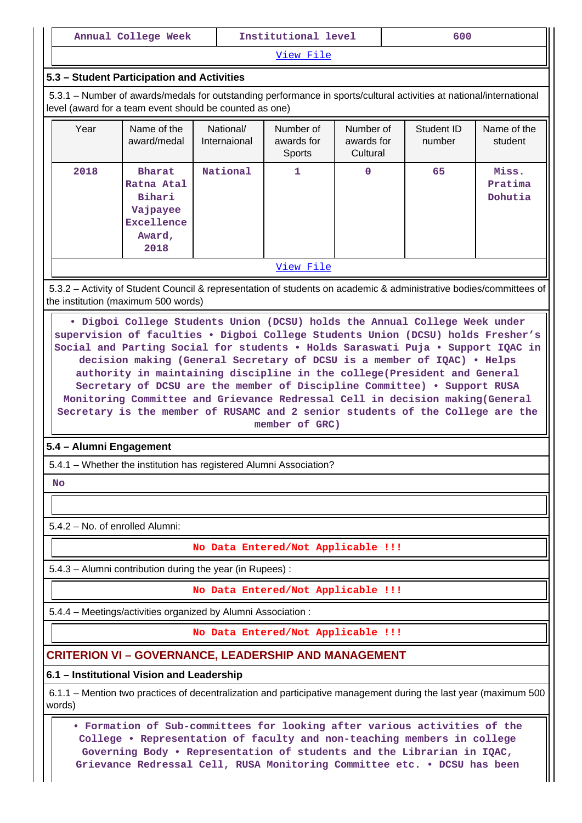|                                 | Annual College Week                                                                                                                                                                                                                                                                                                                                                                                                                                                                                                                                                                                       |                           | Institutional level                      |                                     | 600                                                                                                                |                             |  |  |
|---------------------------------|-----------------------------------------------------------------------------------------------------------------------------------------------------------------------------------------------------------------------------------------------------------------------------------------------------------------------------------------------------------------------------------------------------------------------------------------------------------------------------------------------------------------------------------------------------------------------------------------------------------|---------------------------|------------------------------------------|-------------------------------------|--------------------------------------------------------------------------------------------------------------------|-----------------------------|--|--|
|                                 | <u>View File</u>                                                                                                                                                                                                                                                                                                                                                                                                                                                                                                                                                                                          |                           |                                          |                                     |                                                                                                                    |                             |  |  |
|                                 | 5.3 - Student Participation and Activities                                                                                                                                                                                                                                                                                                                                                                                                                                                                                                                                                                |                           |                                          |                                     |                                                                                                                    |                             |  |  |
|                                 | 5.3.1 – Number of awards/medals for outstanding performance in sports/cultural activities at national/international<br>level (award for a team event should be counted as one)                                                                                                                                                                                                                                                                                                                                                                                                                            |                           |                                          |                                     |                                                                                                                    |                             |  |  |
| Year                            | Name of the<br>award/medal                                                                                                                                                                                                                                                                                                                                                                                                                                                                                                                                                                                | National/<br>Internaional | Number of<br>awards for<br><b>Sports</b> | Number of<br>awards for<br>Cultural | Student ID<br>number                                                                                               | Name of the<br>student      |  |  |
| 2018                            | <b>Bharat</b><br>Ratna Atal<br>Bihari<br>Vajpayee<br><b>Excellence</b><br>Award,<br>2018                                                                                                                                                                                                                                                                                                                                                                                                                                                                                                                  | National                  | 1                                        | $\Omega$                            | 65                                                                                                                 | Miss.<br>Pratima<br>Dohutia |  |  |
|                                 |                                                                                                                                                                                                                                                                                                                                                                                                                                                                                                                                                                                                           |                           | <u>View File</u>                         |                                     |                                                                                                                    |                             |  |  |
|                                 | the institution (maximum 500 words)                                                                                                                                                                                                                                                                                                                                                                                                                                                                                                                                                                       |                           |                                          |                                     | 5.3.2 - Activity of Student Council & representation of students on academic & administrative bodies/committees of |                             |  |  |
|                                 | Social and Parting Social for students . Holds Saraswati Puja . Support IQAC in<br>decision making (General Secretary of DCSU is a member of IQAC) . Helps<br>authority in maintaining discipline in the college (President and General<br>Secretary of DCSU are the member of Discipline Committee) . Support RUSA<br>Monitoring Committee and Grievance Redressal Cell in decision making (General<br>Secretary is the member of RUSAMC and 2 senior students of the College are the<br>member of GRC)<br>5.4 - Alumni Engagement<br>5.4.1 - Whether the institution has registered Alumni Association? |                           |                                          |                                     |                                                                                                                    |                             |  |  |
| <b>No</b>                       |                                                                                                                                                                                                                                                                                                                                                                                                                                                                                                                                                                                                           |                           |                                          |                                     |                                                                                                                    |                             |  |  |
|                                 |                                                                                                                                                                                                                                                                                                                                                                                                                                                                                                                                                                                                           |                           |                                          |                                     |                                                                                                                    |                             |  |  |
| 5.4.2 - No. of enrolled Alumni: |                                                                                                                                                                                                                                                                                                                                                                                                                                                                                                                                                                                                           |                           |                                          |                                     |                                                                                                                    |                             |  |  |
|                                 |                                                                                                                                                                                                                                                                                                                                                                                                                                                                                                                                                                                                           |                           | No Data Entered/Not Applicable !!!       |                                     |                                                                                                                    |                             |  |  |
|                                 | 5.4.3 - Alumni contribution during the year (in Rupees) :                                                                                                                                                                                                                                                                                                                                                                                                                                                                                                                                                 |                           | No Data Entered/Not Applicable !!!       |                                     |                                                                                                                    |                             |  |  |
|                                 | 5.4.4 - Meetings/activities organized by Alumni Association:                                                                                                                                                                                                                                                                                                                                                                                                                                                                                                                                              |                           |                                          |                                     |                                                                                                                    |                             |  |  |
|                                 |                                                                                                                                                                                                                                                                                                                                                                                                                                                                                                                                                                                                           |                           | No Data Entered/Not Applicable !!!       |                                     |                                                                                                                    |                             |  |  |
|                                 | <b>CRITERION VI - GOVERNANCE, LEADERSHIP AND MANAGEMENT</b>                                                                                                                                                                                                                                                                                                                                                                                                                                                                                                                                               |                           |                                          |                                     |                                                                                                                    |                             |  |  |
|                                 | 6.1 - Institutional Vision and Leadership                                                                                                                                                                                                                                                                                                                                                                                                                                                                                                                                                                 |                           |                                          |                                     |                                                                                                                    |                             |  |  |
| words)                          |                                                                                                                                                                                                                                                                                                                                                                                                                                                                                                                                                                                                           |                           |                                          |                                     | 6.1.1 – Mention two practices of decentralization and participative management during the last year (maximum 500   |                             |  |  |
|                                 | . Formation of Sub-committees for looking after various activities of the<br>College . Representation of faculty and non-teaching members in college<br>Governing Body . Representation of students and the Librarian in IQAC,<br>Grievance Redressal Cell, RUSA Monitoring Committee etc. . DCSU has been                                                                                                                                                                                                                                                                                                |                           |                                          |                                     |                                                                                                                    |                             |  |  |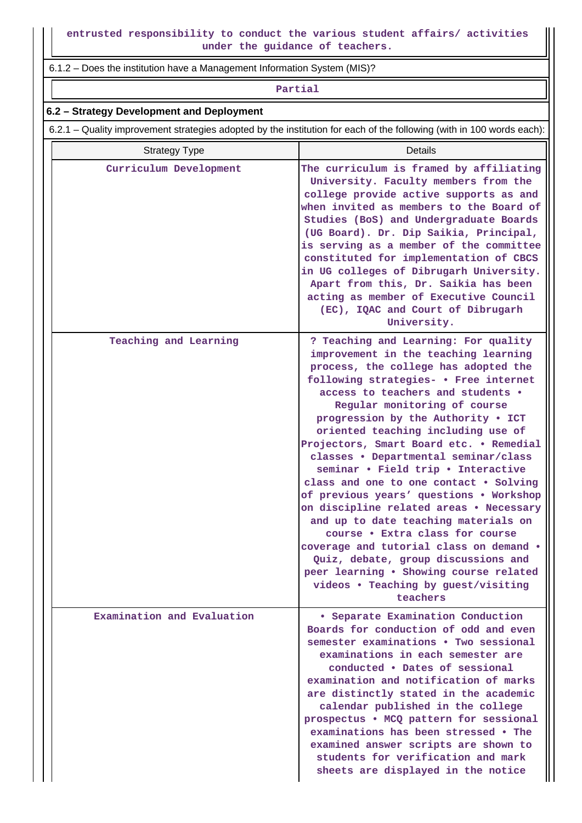6.1.2 – Does the institution have a Management Information System (MIS)?

**Partial**

### **6.2 – Strategy Development and Deployment**

6.2.1 – Quality improvement strategies adopted by the institution for each of the following (with in 100 words each):

| <b>Strategy Type</b>       | Details                                                                                                                                                                                                                                                                                                                                                                                                                                                                                                                                                                                                                                                                                                                                                                                                                           |
|----------------------------|-----------------------------------------------------------------------------------------------------------------------------------------------------------------------------------------------------------------------------------------------------------------------------------------------------------------------------------------------------------------------------------------------------------------------------------------------------------------------------------------------------------------------------------------------------------------------------------------------------------------------------------------------------------------------------------------------------------------------------------------------------------------------------------------------------------------------------------|
| Curriculum Development     | The curriculum is framed by affiliating<br>University. Faculty members from the<br>college provide active supports as and<br>when invited as members to the Board of<br>Studies (BoS) and Undergraduate Boards<br>(UG Board). Dr. Dip Saikia, Principal,<br>is serving as a member of the committee<br>constituted for implementation of CBCS<br>in UG colleges of Dibrugarh University.<br>Apart from this, Dr. Saikia has been<br>acting as member of Executive Council<br>(EC), IQAC and Court of Dibrugarh<br>University.                                                                                                                                                                                                                                                                                                     |
| Teaching and Learning      | ? Teaching and Learning: For quality<br>improvement in the teaching learning<br>process, the college has adopted the<br>following strategies- . Free internet<br>access to teachers and students .<br>Regular monitoring of course<br>progression by the Authority . ICT<br>oriented teaching including use of<br>Projectors, Smart Board etc. . Remedial<br>classes . Departmental seminar/class<br>seminar . Field trip . Interactive<br>class and one to one contact . Solving<br>of previous years' questions . Workshop<br>on discipline related areas . Necessary<br>and up to date teaching materials on<br>course . Extra class for course<br>coverage and tutorial class on demand .<br>Quiz, debate, group discussions and<br>peer learning . Showing course related<br>videos . Teaching by guest/visiting<br>teachers |
| Examination and Evaluation | • Separate Examination Conduction<br>Boards for conduction of odd and even<br>semester examinations • Two sessional<br>examinations in each semester are<br>conducted . Dates of sessional<br>examination and notification of marks<br>are distinctly stated in the academic<br>calendar published in the college<br>prospectus . MCQ pattern for sessional<br>examinations has been stressed • The<br>examined answer scripts are shown to<br>students for verification and mark<br>sheets are displayed in the notice                                                                                                                                                                                                                                                                                                           |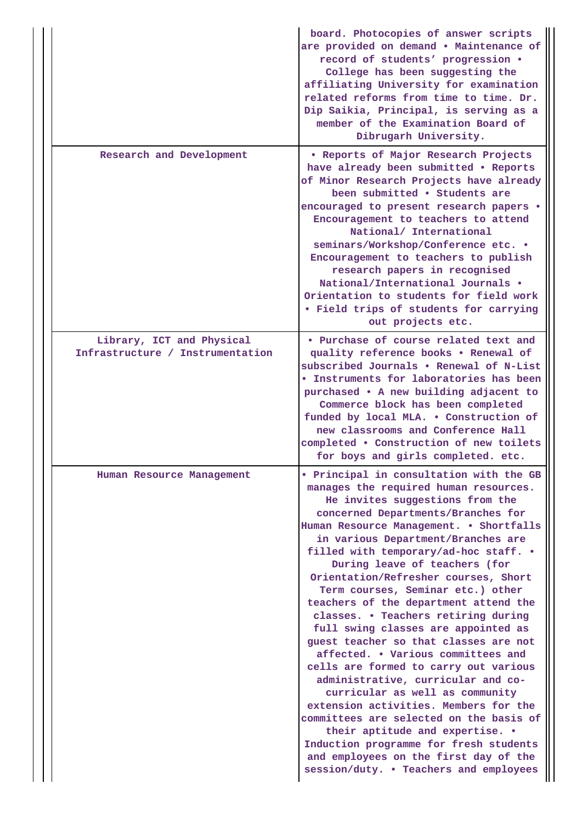|                                                               | board. Photocopies of answer scripts<br>are provided on demand . Maintenance of<br>record of students' progression .<br>College has been suggesting the<br>affiliating University for examination<br>related reforms from time to time. Dr.<br>Dip Saikia, Principal, is serving as a<br>member of the Examination Board of<br>Dibrugarh University.                                                                                                                                                                                                                                                                                                                                                                                                                                                                                                                                                                                                                          |
|---------------------------------------------------------------|-------------------------------------------------------------------------------------------------------------------------------------------------------------------------------------------------------------------------------------------------------------------------------------------------------------------------------------------------------------------------------------------------------------------------------------------------------------------------------------------------------------------------------------------------------------------------------------------------------------------------------------------------------------------------------------------------------------------------------------------------------------------------------------------------------------------------------------------------------------------------------------------------------------------------------------------------------------------------------|
| Research and Development                                      | . Reports of Major Research Projects<br>have already been submitted . Reports<br>of Minor Research Projects have already<br>been submitted . Students are<br>encouraged to present research papers .<br>Encouragement to teachers to attend<br>National/ International<br>seminars/Workshop/Conference etc. .<br>Encouragement to teachers to publish<br>research papers in recognised<br>National/International Journals .<br>Orientation to students for field work<br>. Field trips of students for carrying<br>out projects etc.                                                                                                                                                                                                                                                                                                                                                                                                                                          |
| Library, ICT and Physical<br>Infrastructure / Instrumentation | • Purchase of course related text and<br>quality reference books . Renewal of<br>subscribed Journals . Renewal of N-List<br><b>• Instruments for laboratories has been</b><br>purchased • A new building adjacent to<br>Commerce block has been completed<br>funded by local MLA. . Construction of<br>new classrooms and Conference Hall<br>completed . Construction of new toilets<br>for boys and girls completed. etc.                                                                                                                                                                                                                                                                                                                                                                                                                                                                                                                                                    |
| Human Resource Management                                     | . Principal in consultation with the GB<br>manages the required human resources.<br>He invites suggestions from the<br>concerned Departments/Branches for<br>Human Resource Management. . Shortfalls<br>in various Department/Branches are<br>filled with temporary/ad-hoc staff. .<br>During leave of teachers (for<br>Orientation/Refresher courses, Short<br>Term courses, Seminar etc.) other<br>teachers of the department attend the<br>classes. . Teachers retiring during<br>full swing classes are appointed as<br>guest teacher so that classes are not<br>affected. • Various committees and<br>cells are formed to carry out various<br>administrative, curricular and co-<br>curricular as well as community<br>extension activities. Members for the<br>committees are selected on the basis of<br>their aptitude and expertise. .<br>Induction programme for fresh students<br>and employees on the first day of the<br>session/duty. . Teachers and employees |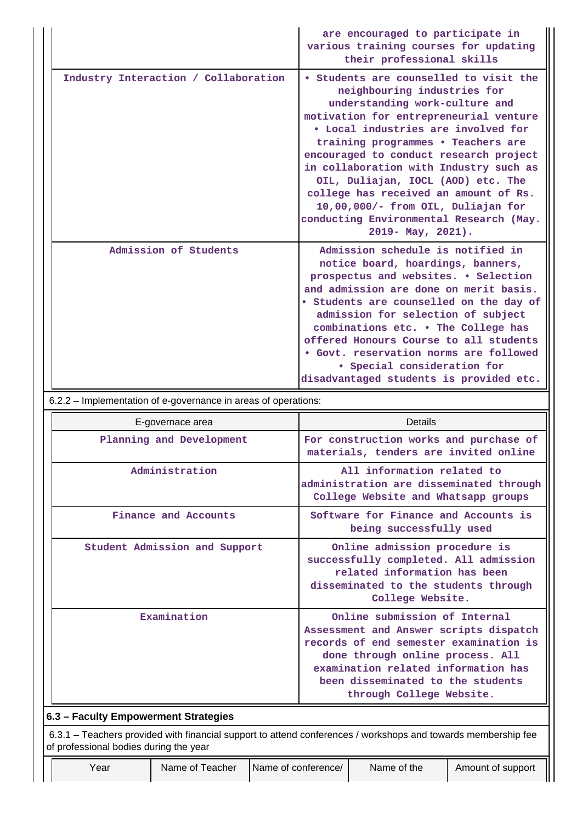|                                                                                                                                                         |                               |  |                                                                                                                                                                                                                                                                                                                                                                                                                                                                                                         | are encouraged to participate in<br>various training courses for updating<br>their professional skills                                                                                                                                                                                                                                                                                                                                         |  |  |
|---------------------------------------------------------------------------------------------------------------------------------------------------------|-------------------------------|--|---------------------------------------------------------------------------------------------------------------------------------------------------------------------------------------------------------------------------------------------------------------------------------------------------------------------------------------------------------------------------------------------------------------------------------------------------------------------------------------------------------|------------------------------------------------------------------------------------------------------------------------------------------------------------------------------------------------------------------------------------------------------------------------------------------------------------------------------------------------------------------------------------------------------------------------------------------------|--|--|
| Industry Interaction / Collaboration                                                                                                                    |                               |  | • Students are counselled to visit the<br>neighbouring industries for<br>understanding work-culture and<br>motivation for entrepreneurial venture<br>· Local industries are involved for<br>training programmes . Teachers are<br>encouraged to conduct research project<br>in collaboration with Industry such as<br>OIL, Duliajan, IOCL (AOD) etc. The<br>college has received an amount of Rs.<br>10,00,000/- from OIL, Duliajan for<br>conducting Environmental Research (May.<br>2019- May, 2021). |                                                                                                                                                                                                                                                                                                                                                                                                                                                |  |  |
|                                                                                                                                                         | Admission of Students         |  |                                                                                                                                                                                                                                                                                                                                                                                                                                                                                                         | Admission schedule is notified in<br>notice board, hoardings, banners,<br>prospectus and websites. . Selection<br>and admission are done on merit basis.<br>. Students are counselled on the day of<br>admission for selection of subject<br>combinations etc. . The College has<br>offered Honours Course to all students<br>. Govt. reservation norms are followed<br>· Special consideration for<br>disadvantaged students is provided etc. |  |  |
| 6.2.2 - Implementation of e-governance in areas of operations:                                                                                          |                               |  |                                                                                                                                                                                                                                                                                                                                                                                                                                                                                                         |                                                                                                                                                                                                                                                                                                                                                                                                                                                |  |  |
|                                                                                                                                                         |                               |  |                                                                                                                                                                                                                                                                                                                                                                                                                                                                                                         |                                                                                                                                                                                                                                                                                                                                                                                                                                                |  |  |
|                                                                                                                                                         | E-governace area              |  |                                                                                                                                                                                                                                                                                                                                                                                                                                                                                                         | Details                                                                                                                                                                                                                                                                                                                                                                                                                                        |  |  |
|                                                                                                                                                         | Planning and Development      |  |                                                                                                                                                                                                                                                                                                                                                                                                                                                                                                         | For construction works and purchase of<br>materials, tenders are invited online                                                                                                                                                                                                                                                                                                                                                                |  |  |
|                                                                                                                                                         | Administration                |  |                                                                                                                                                                                                                                                                                                                                                                                                                                                                                                         | All information related to<br>administration are disseminated through<br>College Website and Whatsapp groups                                                                                                                                                                                                                                                                                                                                   |  |  |
|                                                                                                                                                         | Finance and Accounts          |  |                                                                                                                                                                                                                                                                                                                                                                                                                                                                                                         | Software for Finance and Accounts is<br>being successfully used                                                                                                                                                                                                                                                                                                                                                                                |  |  |
|                                                                                                                                                         | Student Admission and Support |  |                                                                                                                                                                                                                                                                                                                                                                                                                                                                                                         | Online admission procedure is<br>successfully completed. All admission<br>related information has been<br>disseminated to the students through<br>College Website.                                                                                                                                                                                                                                                                             |  |  |
|                                                                                                                                                         | Examination                   |  |                                                                                                                                                                                                                                                                                                                                                                                                                                                                                                         | Online submission of Internal<br>Assessment and Answer scripts dispatch<br>records of end semester examination is<br>done through online process. All<br>examination related information has<br>been disseminated to the students<br>through College Website.                                                                                                                                                                                  |  |  |
| 6.3 - Faculty Empowerment Strategies                                                                                                                    |                               |  |                                                                                                                                                                                                                                                                                                                                                                                                                                                                                                         |                                                                                                                                                                                                                                                                                                                                                                                                                                                |  |  |
| 6.3.1 – Teachers provided with financial support to attend conferences / workshops and towards membership fee<br>of professional bodies during the year |                               |  |                                                                                                                                                                                                                                                                                                                                                                                                                                                                                                         |                                                                                                                                                                                                                                                                                                                                                                                                                                                |  |  |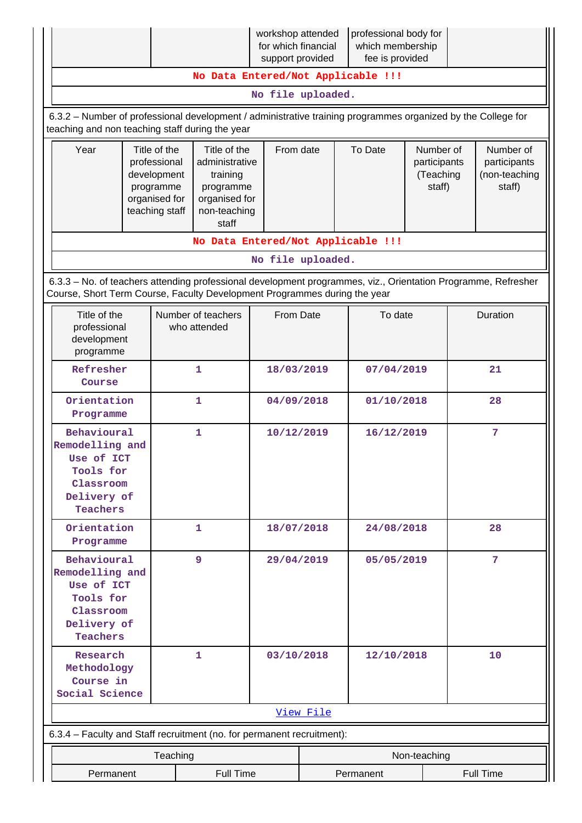|                                                                                                                                                                                            |                                                                                             |                                                                                                   | workshop attended<br>for which financial<br>support provided |           | professional body for<br>which membership<br>fee is provided |                                                  |                                                      |
|--------------------------------------------------------------------------------------------------------------------------------------------------------------------------------------------|---------------------------------------------------------------------------------------------|---------------------------------------------------------------------------------------------------|--------------------------------------------------------------|-----------|--------------------------------------------------------------|--------------------------------------------------|------------------------------------------------------|
|                                                                                                                                                                                            |                                                                                             | No Data Entered/Not Applicable !!!                                                                |                                                              |           |                                                              |                                                  |                                                      |
| No file uploaded.                                                                                                                                                                          |                                                                                             |                                                                                                   |                                                              |           |                                                              |                                                  |                                                      |
| 6.3.2 - Number of professional development / administrative training programmes organized by the College for<br>teaching and non teaching staff during the year                            |                                                                                             |                                                                                                   |                                                              |           |                                                              |                                                  |                                                      |
| Year                                                                                                                                                                                       | Title of the<br>professional<br>development<br>programme<br>organised for<br>teaching staff | Title of the<br>administrative<br>training<br>programme<br>organised for<br>non-teaching<br>staff | From date                                                    |           | To Date                                                      | Number of<br>participants<br>(Teaching<br>staff) | Number of<br>participants<br>(non-teaching<br>staff) |
|                                                                                                                                                                                            |                                                                                             | No Data Entered/Not Applicable !!!                                                                |                                                              |           |                                                              |                                                  |                                                      |
|                                                                                                                                                                                            |                                                                                             |                                                                                                   | No file uploaded.                                            |           |                                                              |                                                  |                                                      |
| 6.3.3 - No. of teachers attending professional development programmes, viz., Orientation Programme, Refresher<br>Course, Short Term Course, Faculty Development Programmes during the year |                                                                                             |                                                                                                   |                                                              |           |                                                              |                                                  |                                                      |
| Title of the<br>professional<br>development<br>programme                                                                                                                                   |                                                                                             | Number of teachers<br>who attended                                                                | From Date                                                    |           | To date                                                      |                                                  | Duration                                             |
| Refresher<br>Course                                                                                                                                                                        |                                                                                             | 1                                                                                                 | 18/03/2019                                                   |           | 07/04/2019                                                   |                                                  | 21                                                   |
| Orientation<br>Programme                                                                                                                                                                   |                                                                                             | 1                                                                                                 | 04/09/2018                                                   |           | 01/10/2018                                                   |                                                  | 28                                                   |
| Behavioural<br>Remodelling and<br>Use of ICT<br>Tools for<br>Classroom<br>Delivery of<br>Teachers                                                                                          |                                                                                             | 1                                                                                                 | 10/12/2019                                                   |           | 16/12/2019                                                   |                                                  | 7                                                    |
| Orientation<br>Programme                                                                                                                                                                   |                                                                                             | $\mathbf{1}$                                                                                      | 18/07/2018                                                   |           | 24/08/2018                                                   |                                                  | 28                                                   |
| Behavioural<br>Remodelling and<br>Use of ICT<br>Tools for<br>Classroom<br>Delivery of<br>Teachers                                                                                          |                                                                                             | 9                                                                                                 | 29/04/2019                                                   |           | 05/05/2019                                                   |                                                  | 7                                                    |
| Research<br>Methodology<br>Course in<br>Social Science                                                                                                                                     |                                                                                             | 1                                                                                                 | 03/10/2018                                                   |           | 12/10/2018                                                   |                                                  | 10                                                   |
|                                                                                                                                                                                            |                                                                                             |                                                                                                   |                                                              | View File |                                                              |                                                  |                                                      |
| 6.3.4 - Faculty and Staff recruitment (no. for permanent recruitment):                                                                                                                     |                                                                                             |                                                                                                   |                                                              |           |                                                              |                                                  |                                                      |
|                                                                                                                                                                                            | Teaching                                                                                    |                                                                                                   |                                                              |           |                                                              | Non-teaching                                     |                                                      |
| Permanent                                                                                                                                                                                  |                                                                                             | <b>Full Time</b>                                                                                  |                                                              |           | Permanent                                                    |                                                  | Full Time                                            |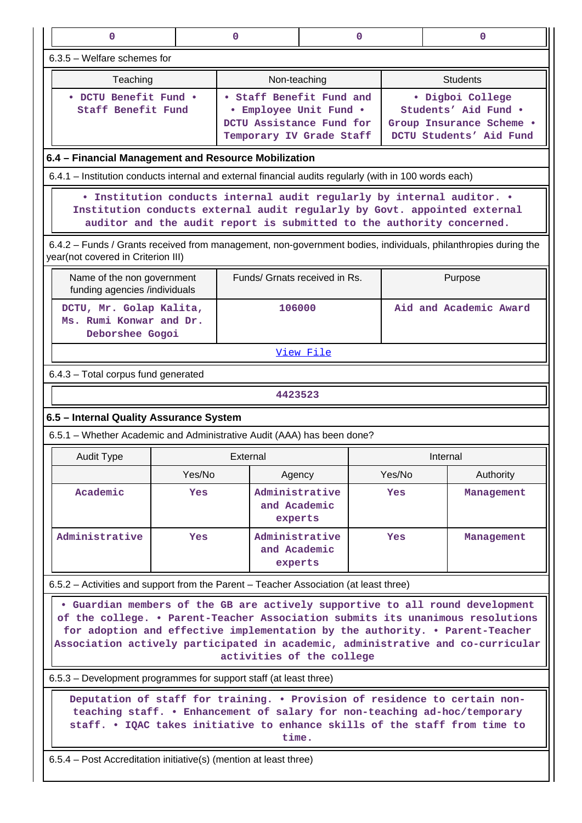| $\mathbf{0}$                                                                                                                                                                                                                 |        | $\mathbf{0}$                  | $\mathbf 0$                                                                                                |        | 0                                                                                                                                                                                                                                                                                                                                  |  |
|------------------------------------------------------------------------------------------------------------------------------------------------------------------------------------------------------------------------------|--------|-------------------------------|------------------------------------------------------------------------------------------------------------|--------|------------------------------------------------------------------------------------------------------------------------------------------------------------------------------------------------------------------------------------------------------------------------------------------------------------------------------------|--|
| 6.3.5 - Welfare schemes for                                                                                                                                                                                                  |        |                               |                                                                                                            |        |                                                                                                                                                                                                                                                                                                                                    |  |
| Teaching                                                                                                                                                                                                                     |        | Non-teaching                  |                                                                                                            |        | <b>Students</b>                                                                                                                                                                                                                                                                                                                    |  |
| · DCTU Benefit Fund ·<br>Staff Benefit Fund                                                                                                                                                                                  |        |                               | • Staff Benefit Fund and<br>• Employee Unit Fund .<br>DCTU Assistance Fund for<br>Temporary IV Grade Staff |        | · Digboi College<br>Students' Aid Fund .<br>Group Insurance Scheme .<br>DCTU Students' Aid Fund                                                                                                                                                                                                                                    |  |
| 6.4 - Financial Management and Resource Mobilization                                                                                                                                                                         |        |                               |                                                                                                            |        |                                                                                                                                                                                                                                                                                                                                    |  |
| 6.4.1 – Institution conducts internal and external financial audits regularly (with in 100 words each)                                                                                                                       |        |                               |                                                                                                            |        |                                                                                                                                                                                                                                                                                                                                    |  |
| • Institution conducts internal audit regularly by internal auditor. •<br>Institution conducts external audit regularly by Govt. appointed external<br>auditor and the audit report is submitted to the authority concerned. |        |                               |                                                                                                            |        |                                                                                                                                                                                                                                                                                                                                    |  |
| year(not covered in Criterion III)                                                                                                                                                                                           |        |                               |                                                                                                            |        | 6.4.2 – Funds / Grants received from management, non-government bodies, individuals, philanthropies during the                                                                                                                                                                                                                     |  |
| Name of the non government<br>funding agencies /individuals                                                                                                                                                                  |        | Funds/ Grnats received in Rs. |                                                                                                            |        | Purpose                                                                                                                                                                                                                                                                                                                            |  |
| DCTU, Mr. Golap Kalita,<br>Ms. Rumi Konwar and Dr.<br>Deborshee Gogoi                                                                                                                                                        |        | 106000                        |                                                                                                            |        | Aid and Academic Award                                                                                                                                                                                                                                                                                                             |  |
|                                                                                                                                                                                                                              |        |                               | View File                                                                                                  |        |                                                                                                                                                                                                                                                                                                                                    |  |
| 6.4.3 - Total corpus fund generated                                                                                                                                                                                          |        |                               |                                                                                                            |        |                                                                                                                                                                                                                                                                                                                                    |  |
|                                                                                                                                                                                                                              |        | 4423523                       |                                                                                                            |        |                                                                                                                                                                                                                                                                                                                                    |  |
| 6.5 - Internal Quality Assurance System                                                                                                                                                                                      |        |                               |                                                                                                            |        |                                                                                                                                                                                                                                                                                                                                    |  |
| 6.5.1 - Whether Academic and Administrative Audit (AAA) has been done?                                                                                                                                                       |        |                               |                                                                                                            |        |                                                                                                                                                                                                                                                                                                                                    |  |
| <b>Audit Type</b>                                                                                                                                                                                                            |        | External                      |                                                                                                            |        | Internal                                                                                                                                                                                                                                                                                                                           |  |
|                                                                                                                                                                                                                              | Yes/No |                               |                                                                                                            |        |                                                                                                                                                                                                                                                                                                                                    |  |
|                                                                                                                                                                                                                              |        | Agency                        |                                                                                                            | Yes/No | Authority                                                                                                                                                                                                                                                                                                                          |  |
| Academic                                                                                                                                                                                                                     | Yes    | and Academic<br>experts       | Administrative                                                                                             | Yes    | Management                                                                                                                                                                                                                                                                                                                         |  |
| Administrative                                                                                                                                                                                                               | Yes    | and Academic<br>experts       | Administrative                                                                                             | Yes    | Management                                                                                                                                                                                                                                                                                                                         |  |
| 6.5.2 – Activities and support from the Parent – Teacher Association (at least three)                                                                                                                                        |        |                               |                                                                                                            |        |                                                                                                                                                                                                                                                                                                                                    |  |
|                                                                                                                                                                                                                              |        | activities of the college     |                                                                                                            |        | . Guardian members of the GB are actively supportive to all round development<br>of the college. • Parent-Teacher Association submits its unanimous resolutions<br>for adoption and effective implementation by the authority. . Parent-Teacher<br>Association actively participated in academic, administrative and co-curricular |  |
| 6.5.3 – Development programmes for support staff (at least three)                                                                                                                                                            |        |                               |                                                                                                            |        |                                                                                                                                                                                                                                                                                                                                    |  |
| 6.5.4 – Post Accreditation initiative(s) (mention at least three)                                                                                                                                                            |        | time.                         |                                                                                                            |        | Deputation of staff for training. . Provision of residence to certain non-<br>teaching staff. . Enhancement of salary for non-teaching ad-hoc/temporary<br>staff. . IQAC takes initiative to enhance skills of the staff from time to                                                                                              |  |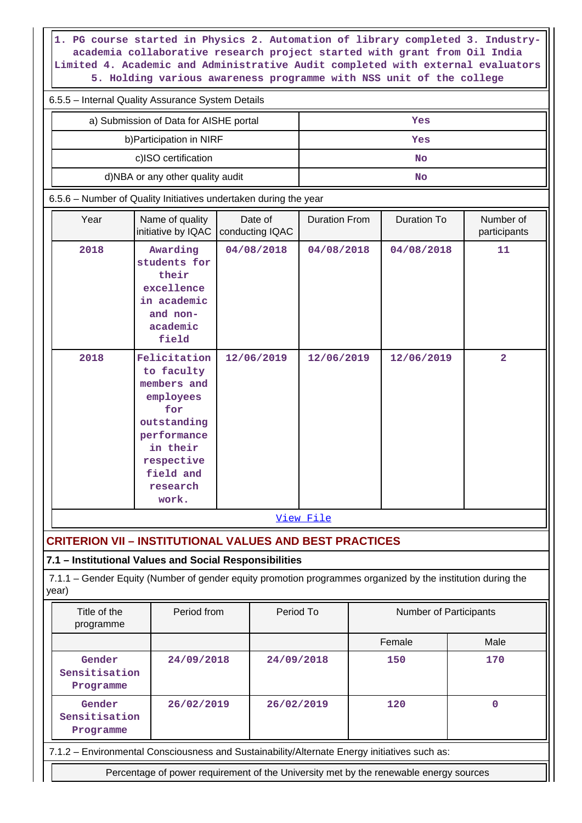**1. PG course started in Physics 2. Automation of library completed 3. Industryacademia collaborative research project started with grant from Oil India Limited 4. Academic and Administrative Audit completed with external evaluators 5. Holding various awareness programme with NSS unit of the college**

| 6.5.5 – Internal Quality Assurance System Details |     |  |  |  |
|---------------------------------------------------|-----|--|--|--|
| a) Submission of Data for AISHE portal            | Yes |  |  |  |
| b) Participation in NIRF                          | Yes |  |  |  |
| c)ISO certification                               | No  |  |  |  |
| d)NBA or any other quality audit                  | No  |  |  |  |

6.5.6 – Number of Quality Initiatives undertaken during the year

| Year | Name of quality<br>initiative by IQAC                                                                                                                   | Date of<br>conducting IQAC | <b>Duration From</b> | Duration To | Number of<br>participants |
|------|---------------------------------------------------------------------------------------------------------------------------------------------------------|----------------------------|----------------------|-------------|---------------------------|
| 2018 | Awarding<br>students for<br>their<br>excellence<br>in academic<br>and non-<br>academic<br>field                                                         | 04/08/2018                 | 04/08/2018           | 04/08/2018  | 11                        |
| 2018 | Felicitation<br>to faculty<br>members and<br>employees<br>for<br>outstanding<br>performance<br>in their<br>respective<br>field and<br>research<br>work. | 12/06/2019                 | 12/06/2019           | 12/06/2019  | $\overline{a}$            |
|      |                                                                                                                                                         |                            | View File            |             |                           |

**CRITERION VII – INSTITUTIONAL VALUES AND BEST PRACTICES**

## **7.1 – Institutional Values and Social Responsibilities**

 7.1.1 – Gender Equity (Number of gender equity promotion programmes organized by the institution during the year)

| Title of the<br>programme            | Period from | Period To  | <b>Number of Participants</b>                                                                |      |
|--------------------------------------|-------------|------------|----------------------------------------------------------------------------------------------|------|
|                                      |             |            | Female                                                                                       | Male |
| Gender<br>Sensitisation<br>Programme | 24/09/2018  | 24/09/2018 | 150                                                                                          | 170  |
| Gender<br>Sensitisation<br>Programme | 26/02/2019  | 26/02/2019 | 120                                                                                          |      |
|                                      |             |            | 7.1.2 – Environmental Consciousness and Sustainability/Alternate Energy initiatives such as: |      |
|                                      |             |            | Percentage of power requirement of the University met by the renewable energy sources        |      |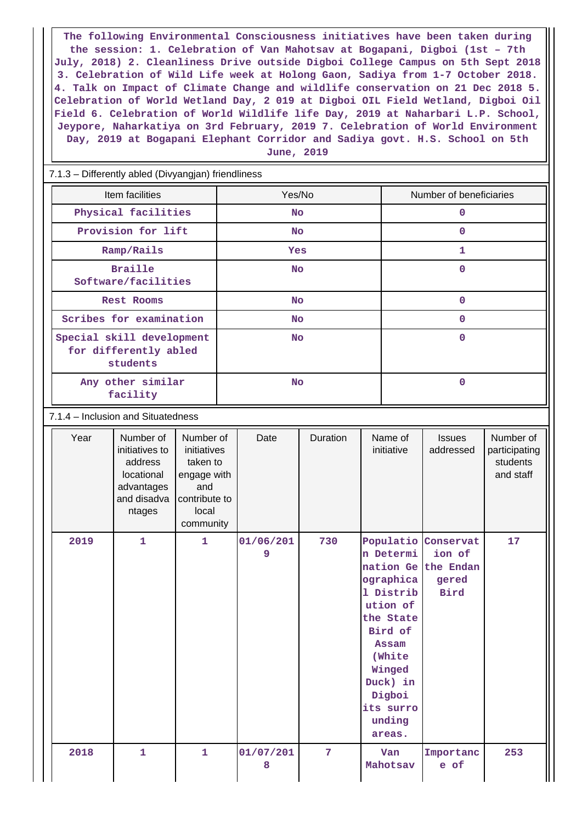**The following Environmental Consciousness initiatives have been taken during the session: 1. Celebration of Van Mahotsav at Bogapani, Digboi (1st – 7th July, 2018) 2. Cleanliness Drive outside Digboi College Campus on 5th Sept 2018 3. Celebration of Wild Life week at Holong Gaon, Sadiya from 1-7 October 2018. 4. Talk on Impact of Climate Change and wildlife conservation on 21 Dec 2018 5. Celebration of World Wetland Day, 2 019 at Digboi OIL Field Wetland, Digboi Oil Field 6. Celebration of World Wildlife life Day, 2019 at Naharbari L.P. School, Jeypore, Naharkatiya on 3rd February, 2019 7. Celebration of World Environment Day, 2019 at Bogapani Elephant Corridor and Sadiya govt. H.S. School on 5th June, 2019**

#### 7.1.3 – Differently abled (Divyangjan) friendliness

| Item facilities                                                | Yes/No     | Number of beneficiaries |
|----------------------------------------------------------------|------------|-------------------------|
| Physical facilities                                            | <b>No</b>  | 0                       |
| Provision for lift                                             | <b>No</b>  | n                       |
| Ramp/Rails                                                     | <b>Yes</b> | 1                       |
| <b>Braille</b><br>Software/facilities                          | <b>No</b>  | 0                       |
| <b>Rest Rooms</b>                                              | <b>No</b>  | 0                       |
| Scribes for examination                                        | <b>No</b>  | O                       |
| Special skill development<br>for differently abled<br>students | <b>No</b>  | O                       |
| Any other similar<br>facility                                  | <b>No</b>  | 0                       |

#### 7.1.4 – Inclusion and Situatedness

| Year | Number of<br>initiatives to<br>address<br>locational<br>advantages<br>and disadva<br>ntages | Number of<br>initiatives<br>taken to<br>engage with<br>and<br>contribute to<br>local<br>community | Date           | Duration | Name of<br>initiative                                                                                                                                                                 | <b>Issues</b><br>addressed                               | Number of<br>participating<br>students<br>and staff |
|------|---------------------------------------------------------------------------------------------|---------------------------------------------------------------------------------------------------|----------------|----------|---------------------------------------------------------------------------------------------------------------------------------------------------------------------------------------|----------------------------------------------------------|-----------------------------------------------------|
| 2019 | $\mathbf{1}$                                                                                | $\mathbf{1}$                                                                                      | 01/06/201<br>9 | 730      | Populatio<br>n Determi<br>nation Ge<br>ographica<br>1 Distrib<br>ution of<br>the State<br>Bird of<br>Assam<br>(White<br>Winged<br>Duck) in<br>Digboi<br>its surro<br>unding<br>areas. | Conservat<br>ion of<br>the Endan<br>gered<br><b>Bird</b> | 17                                                  |
| 2018 | 1                                                                                           | 1                                                                                                 | 01/07/201<br>8 | 7        | Van<br>Mahotsav                                                                                                                                                                       | Importanc<br>e of                                        | 253                                                 |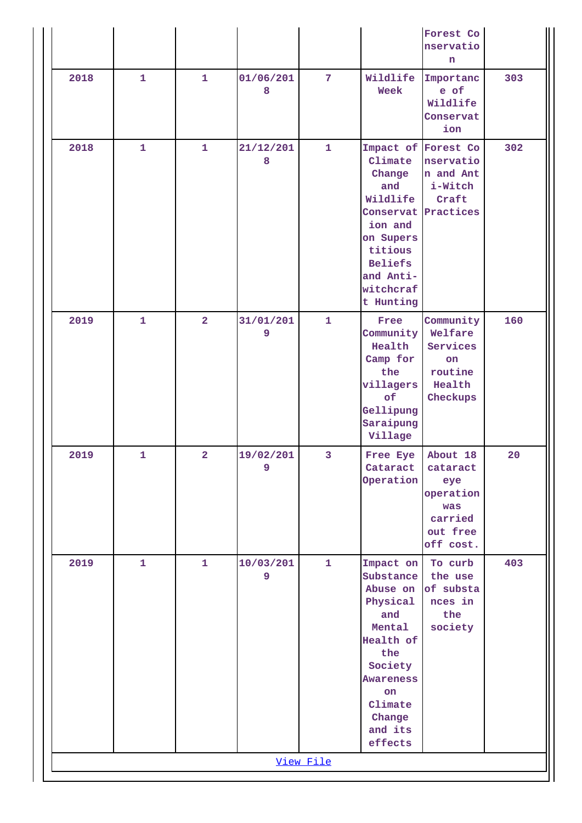|           |              |                |                |                |                                                                                                                                                                     | Forest Co<br>nservatio<br>n                                                              |     |
|-----------|--------------|----------------|----------------|----------------|---------------------------------------------------------------------------------------------------------------------------------------------------------------------|------------------------------------------------------------------------------------------|-----|
| 2018      | $\mathbf{1}$ | $\mathbf{1}$   | 01/06/201<br>8 | $\overline{7}$ | Wildlife<br>Week                                                                                                                                                    | Importanc<br>e of<br>Wildlife<br>Conservat<br>ion                                        | 303 |
| 2018      | $\mathbf{1}$ | $\mathbf{1}$   | 21/12/201<br>8 | $\mathbf{1}$   | Climate<br>Change<br>and<br>Wildlife<br>ion and<br>on Supers<br>titious<br><b>Beliefs</b><br>and Anti-<br>witchcraf<br>t Hunting                                    | Impact of Forest Co<br>nservatio<br>n and Ant<br>i-Witch<br>Craft<br>Conservat Practices | 302 |
| 2019      | $\mathbf{1}$ | $\overline{2}$ | 31/01/201<br>9 | $\mathbf{1}$   | Free<br>Community<br>Health<br>Camp for<br>the<br>villagers<br>of<br>Gellipung<br>Saraipung<br>Village                                                              | Community<br>Welfare<br>Services<br><b>on</b><br>routine<br>Health<br>Checkups           | 160 |
| 2019      | $\mathbf{1}$ | $\overline{2}$ | 19/02/201<br>9 | $\overline{3}$ | Free Eye<br>Cataract<br>Operation                                                                                                                                   | About 18<br>cataract<br>eye<br>operation<br>was<br>carried<br>out free<br>off cost.      | 20  |
| 2019      | $\mathbf{1}$ | $\mathbf{1}$   | 10/03/201<br>9 | $\mathbf{1}$   | Impact on<br>Substance<br>Abuse on<br>Physical<br>and<br>Mental<br>Health of<br>the<br>Society<br><b>Awareness</b><br>on<br>Climate<br>Change<br>and its<br>effects | To curb<br>the use<br>of substa<br>nces in<br>the<br>society                             | 403 |
| View File |              |                |                |                |                                                                                                                                                                     |                                                                                          |     |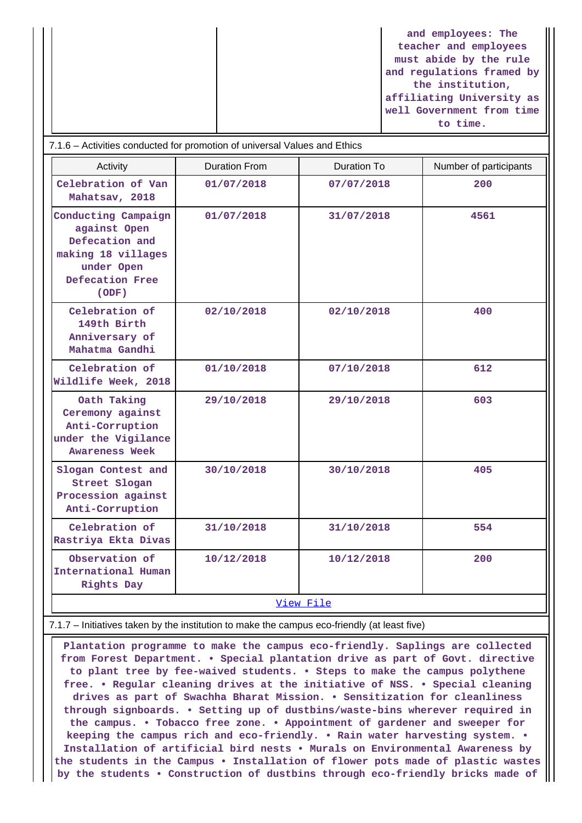**and employees: The teacher and employees must abide by the rule and regulations framed by the institution, affiliating University as well Government from time to time.**

| Activity                                                                                                              | <b>Duration From</b> | <b>Duration To</b> | Number of participants |  |
|-----------------------------------------------------------------------------------------------------------------------|----------------------|--------------------|------------------------|--|
| Celebration of Van<br>Mahatsav, 2018                                                                                  | 01/07/2018           | 07/07/2018         | 200                    |  |
| Conducting Campaign<br>against Open<br>Defecation and<br>making 18 villages<br>under Open<br>Defecation Free<br>(ODE) | 01/07/2018           | 31/07/2018         | 4561                   |  |
| Celebration of<br>149th Birth<br>Anniversary of<br>Mahatma Gandhi                                                     | 02/10/2018           | 02/10/2018         | 400                    |  |
| Celebration of<br>Wildlife Week, 2018                                                                                 | 01/10/2018           | 07/10/2018         | 612                    |  |
| Oath Taking<br>Ceremony against<br>Anti-Corruption<br>under the Vigilance<br><b>Awareness Week</b>                    | 29/10/2018           | 29/10/2018         | 603                    |  |
| Slogan Contest and<br>Street Slogan<br>Procession against<br>Anti-Corruption                                          | 30/10/2018           | 30/10/2018         | 405                    |  |
| Celebration of<br>Rastriya Ekta Divas                                                                                 | 31/10/2018           | 31/10/2018         | 554                    |  |
| Observation of<br>International Human<br>Rights Day                                                                   | 10/12/2018           | 10/12/2018         | 200                    |  |
| View File                                                                                                             |                      |                    |                        |  |

7.1.7 – Initiatives taken by the institution to make the campus eco-friendly (at least five)

 **Plantation programme to make the campus eco-friendly. Saplings are collected from Forest Department. • Special plantation drive as part of Govt. directive to plant tree by fee-waived students. • Steps to make the campus polythene free. • Regular cleaning drives at the initiative of NSS. • Special cleaning drives as part of Swachha Bharat Mission. • Sensitization for cleanliness through signboards. • Setting up of dustbins/waste-bins wherever required in the campus. • Tobacco free zone. • Appointment of gardener and sweeper for keeping the campus rich and eco-friendly. • Rain water harvesting system. • Installation of artificial bird nests • Murals on Environmental Awareness by the students in the Campus • Installation of flower pots made of plastic wastes by the students • Construction of dustbins through eco-friendly bricks made of**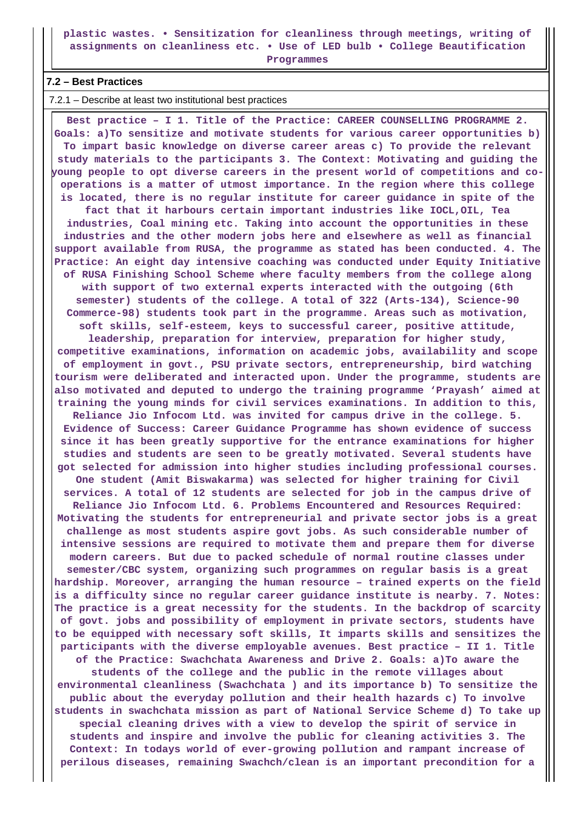**plastic wastes. • Sensitization for cleanliness through meetings, writing of assignments on cleanliness etc. • Use of LED bulb • College Beautification**

**Programmes**

#### **7.2 – Best Practices**

7.2.1 – Describe at least two institutional best practices

 **Best practice – I 1. Title of the Practice: CAREER COUNSELLING PROGRAMME 2. Goals: a)To sensitize and motivate students for various career opportunities b) To impart basic knowledge on diverse career areas c) To provide the relevant study materials to the participants 3. The Context: Motivating and guiding the young people to opt diverse careers in the present world of competitions and cooperations is a matter of utmost importance. In the region where this college is located, there is no regular institute for career guidance in spite of the fact that it harbours certain important industries like IOCL,OIL, Tea industries, Coal mining etc. Taking into account the opportunities in these industries and the other modern jobs here and elsewhere as well as financial support available from RUSA, the programme as stated has been conducted. 4. The Practice: An eight day intensive coaching was conducted under Equity Initiative of RUSA Finishing School Scheme where faculty members from the college along with support of two external experts interacted with the outgoing (6th semester) students of the college. A total of 322 (Arts-134), Science-90 Commerce-98) students took part in the programme. Areas such as motivation, soft skills, self-esteem, keys to successful career, positive attitude, leadership, preparation for interview, preparation for higher study, competitive examinations, information on academic jobs, availability and scope of employment in govt., PSU private sectors, entrepreneurship, bird watching tourism were deliberated and interacted upon. Under the programme, students are also motivated and deputed to undergo the training programme 'Prayash' aimed at training the young minds for civil services examinations. In addition to this, Reliance Jio Infocom Ltd. was invited for campus drive in the college. 5. Evidence of Success: Career Guidance Programme has shown evidence of success since it has been greatly supportive for the entrance examinations for higher studies and students are seen to be greatly motivated. Several students have got selected for admission into higher studies including professional courses. One student (Amit Biswakarma) was selected for higher training for Civil services. A total of 12 students are selected for job in the campus drive of Reliance Jio Infocom Ltd. 6. Problems Encountered and Resources Required: Motivating the students for entrepreneurial and private sector jobs is a great challenge as most students aspire govt jobs. As such considerable number of intensive sessions are required to motivate them and prepare them for diverse modern careers. But due to packed schedule of normal routine classes under semester/CBC system, organizing such programmes on regular basis is a great hardship. Moreover, arranging the human resource – trained experts on the field is a difficulty since no regular career guidance institute is nearby. 7. Notes: The practice is a great necessity for the students. In the backdrop of scarcity of govt. jobs and possibility of employment in private sectors, students have to be equipped with necessary soft skills, It imparts skills and sensitizes the participants with the diverse employable avenues. Best practice – II 1. Title of the Practice: Swachchata Awareness and Drive 2. Goals: a)To aware the students of the college and the public in the remote villages about environmental cleanliness (Swachchata ) and its importance b) To sensitize the public about the everyday pollution and their health hazards c) To involve students in swachchata mission as part of National Service Scheme d) To take up special cleaning drives with a view to develop the spirit of service in students and inspire and involve the public for cleaning activities 3. The Context: In todays world of ever-growing pollution and rampant increase of perilous diseases, remaining Swachch/clean is an important precondition for a**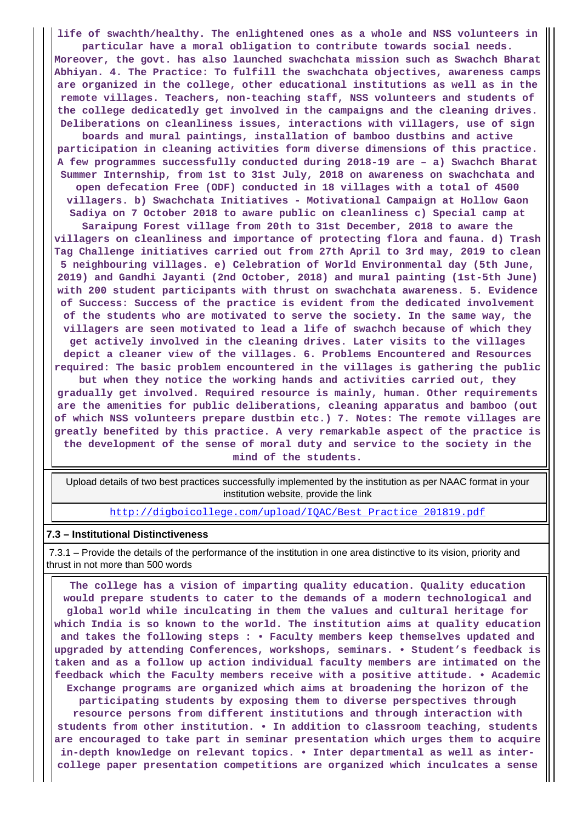**life of swachth/healthy. The enlightened ones as a whole and NSS volunteers in**

**particular have a moral obligation to contribute towards social needs. Moreover, the govt. has also launched swachchata mission such as Swachch Bharat Abhiyan. 4. The Practice: To fulfill the swachchata objectives, awareness camps are organized in the college, other educational institutions as well as in the remote villages. Teachers, non-teaching staff, NSS volunteers and students of the college dedicatedly get involved in the campaigns and the cleaning drives. Deliberations on cleanliness issues, interactions with villagers, use of sign**

**boards and mural paintings, installation of bamboo dustbins and active participation in cleaning activities form diverse dimensions of this practice. A few programmes successfully conducted during 2018-19 are – a) Swachch Bharat Summer Internship, from 1st to 31st July, 2018 on awareness on swachchata and open defecation Free (ODF) conducted in 18 villages with a total of 4500 villagers. b) Swachchata Initiatives - Motivational Campaign at Hollow Gaon**

**Sadiya on 7 October 2018 to aware public on cleanliness c) Special camp at Saraipung Forest village from 20th to 31st December, 2018 to aware the villagers on cleanliness and importance of protecting flora and fauna. d) Trash Tag Challenge initiatives carried out from 27th April to 3rd may, 2019 to clean 5 neighbouring villages. e) Celebration of World Environmental day (5th June, 2019) and Gandhi Jayanti (2nd October, 2018) and mural painting (1st-5th June) with 200 student participants with thrust on swachchata awareness. 5. Evidence of Success: Success of the practice is evident from the dedicated involvement of the students who are motivated to serve the society. In the same way, the villagers are seen motivated to lead a life of swachch because of which they get actively involved in the cleaning drives. Later visits to the villages depict a cleaner view of the villages. 6. Problems Encountered and Resources required: The basic problem encountered in the villages is gathering the public but when they notice the working hands and activities carried out, they gradually get involved. Required resource is mainly, human. Other requirements are the amenities for public deliberations, cleaning apparatus and bamboo (out of which NSS volunteers prepare dustbin etc.) 7. Notes: The remote villages are greatly benefited by this practice. A very remarkable aspect of the practice is the development of the sense of moral duty and service to the society in the**

**mind of the students.**

 Upload details of two best practices successfully implemented by the institution as per NAAC format in your institution website, provide the link

[http://digboicollege.com/upload/IQAC/Best\\_Practice\\_201819.pdf](http://digboicollege.com/upload/IQAC/Best_Practice_201819.pdf)

#### **7.3 – Institutional Distinctiveness**

 7.3.1 – Provide the details of the performance of the institution in one area distinctive to its vision, priority and thrust in not more than 500 words

 **The college has a vision of imparting quality education. Quality education would prepare students to cater to the demands of a modern technological and global world while inculcating in them the values and cultural heritage for which India is so known to the world. The institution aims at quality education and takes the following steps : • Faculty members keep themselves updated and upgraded by attending Conferences, workshops, seminars. • Student's feedback is taken and as a follow up action individual faculty members are intimated on the feedback which the Faculty members receive with a positive attitude. • Academic Exchange programs are organized which aims at broadening the horizon of the participating students by exposing them to diverse perspectives through resource persons from different institutions and through interaction with students from other institution. • In addition to classroom teaching, students are encouraged to take part in seminar presentation which urges them to acquire in-depth knowledge on relevant topics. • Inter departmental as well as intercollege paper presentation competitions are organized which inculcates a sense**